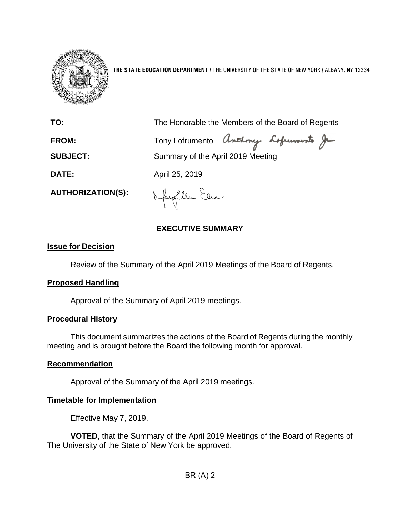

**THE STATE EDUCATION DEPARTMENT** / THE UNIVERSITY OF THE STATE OF NEW YORK / ALBANY, NY 12234

**TO:** The Honorable the Members of the Board of Regents

FROM: Tony Lofrumento Anthony Lofuments Je

**SUBJECT:** Summary of the April 2019 Meeting

**DATE:** April 25, 2019

**AUTHORIZATION(S):**

Nayortlem Elia

#### **EXECUTIVE SUMMARY**

#### **Issue for Decision**

Review of the Summary of the April 2019 Meetings of the Board of Regents.

#### **Proposed Handling**

Approval of the Summary of April 2019 meetings.

#### **Procedural History**

This document summarizes the actions of the Board of Regents during the monthly meeting and is brought before the Board the following month for approval.

#### **Recommendation**

Approval of the Summary of the April 2019 meetings.

#### **Timetable for Implementation**

Effective May 7, 2019.

**VOTED**, that the Summary of the April 2019 Meetings of the Board of Regents of The University of the State of New York be approved.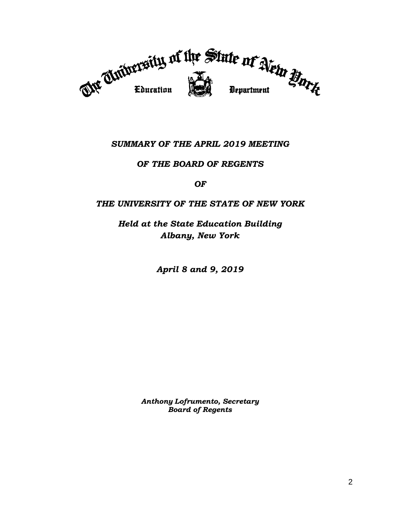

#### *SUMMARY OF THE APRIL 2019 MEETING*

#### *OF THE BOARD OF REGENTS*

*OF*

#### *THE UNIVERSITY OF THE STATE OF NEW YORK*

*Held at the State Education Building Albany, New York*

*April 8 and 9, 2019*

*Anthony Lofrumento, Secretary Board of Regents*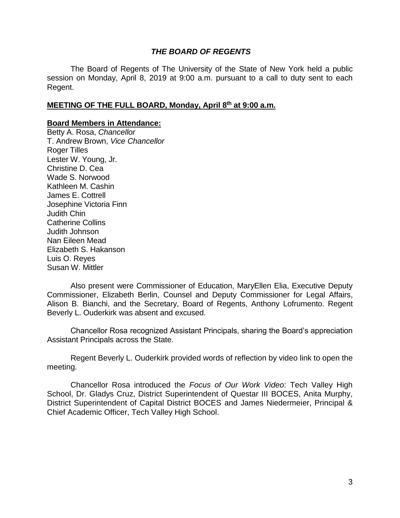#### *THE BOARD OF REGENTS*

The Board of Regents of The University of the State of New York held a public session on Monday, April 8, 2019 at 9:00 a.m. pursuant to a call to duty sent to each Regent.

#### **MEETING OF THE FULL BOARD, Monday, April 8th at 9:00 a.m.**

#### **Board Members in Attendance:**

Betty A. Rosa, *Chancellor* T. Andrew Brown, *Vice Chancellor* Roger Tilles Lester W. Young, Jr. Christine D. Cea Wade S. Norwood Kathleen M. Cashin James E. Cottrell Josephine Victoria Finn Judith Chin Catherine Collins Judith Johnson Nan Eileen Mead Elizabeth S. Hakanson Luis O. Reyes Susan W. Mittler

Also present were Commissioner of Education, MaryEllen Elia, Executive Deputy Commissioner, Elizabeth Berlin, Counsel and Deputy Commissioner for Legal Affairs, Alison B. Bianchi, and the Secretary, Board of Regents, Anthony Lofrumento. Regent Beverly L. Ouderkirk was absent and excused.

Chancellor Rosa recognized Assistant Principals, sharing the Board's appreciation Assistant Principals across the State.

Regent Beverly L. Ouderkirk provided words of reflection by video link to open the meeting.

Chancellor Rosa introduced the *Focus of Our Work Video*: Tech Valley High School, Dr. Gladys Cruz, District Superintendent of Questar III BOCES, Anita Murphy, District Superintendent of Capital District BOCES and James Niedermeier, Principal & Chief Academic Officer, Tech Valley High School.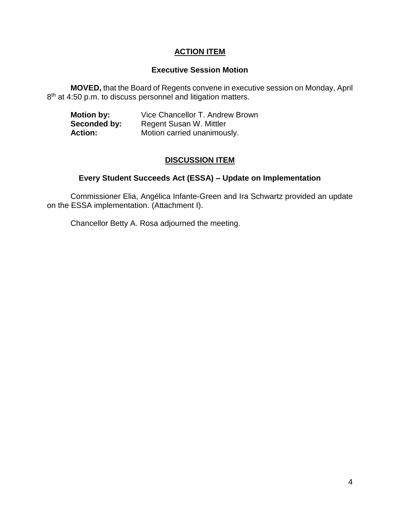#### **ACTION ITEM**

#### **Executive Session Motion**

**MOVED,** that the Board of Regents convene in executive session on Monday, April 8<sup>th</sup> at 4:50 p.m. to discuss personnel and litigation matters.

| <b>Motion by:</b> | Vice Chancellor T. Andrew Brown |
|-------------------|---------------------------------|
| Seconded by:      | Regent Susan W. Mittler         |
| <b>Action:</b>    | Motion carried unanimously.     |

#### **DISCUSSION ITEM**

#### **Every Student Succeeds Act (ESSA) – Update on Implementation**

Commissioner Elia, Angélica Infante-Green and Ira Schwartz provided an update on the ESSA implementation. (Attachment I).

Chancellor Betty A. Rosa adjourned the meeting.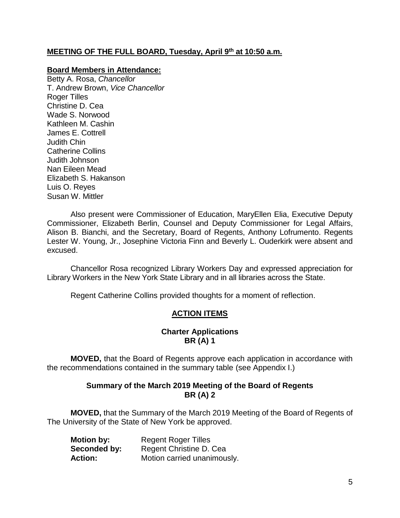#### **MEETING OF THE FULL BOARD, Tuesday, April 9th at 10:50 a.m.**

#### **Board Members in Attendance:**

Betty A. Rosa, *Chancellor* T. Andrew Brown, *Vice Chancellor* Roger Tilles Christine D. Cea Wade S. Norwood Kathleen M. Cashin James E. Cottrell Judith Chin Catherine Collins Judith Johnson Nan Eileen Mead Elizabeth S. Hakanson Luis O. Reyes Susan W. Mittler

Also present were Commissioner of Education, MaryEllen Elia, Executive Deputy Commissioner, Elizabeth Berlin, Counsel and Deputy Commissioner for Legal Affairs, Alison B. Bianchi, and the Secretary, Board of Regents, Anthony Lofrumento. Regents Lester W. Young, Jr., Josephine Victoria Finn and Beverly L. Ouderkirk were absent and excused.

Chancellor Rosa recognized Library Workers Day and expressed appreciation for Library Workers in the New York State Library and in all libraries across the State.

Regent Catherine Collins provided thoughts for a moment of reflection.

#### **ACTION ITEMS**

#### **Charter Applications BR (A) 1**

**MOVED,** that the Board of Regents approve each application in accordance with the recommendations contained in the summary table (see Appendix I.)

#### **Summary of the March 2019 Meeting of the Board of Regents BR (A) 2**

**MOVED,** that the Summary of the March 2019 Meeting of the Board of Regents of The University of the State of New York be approved.

| <b>Motion by:</b> | <b>Regent Roger Tilles</b>  |  |
|-------------------|-----------------------------|--|
| Seconded by:      | Regent Christine D. Cea     |  |
| <b>Action:</b>    | Motion carried unanimously. |  |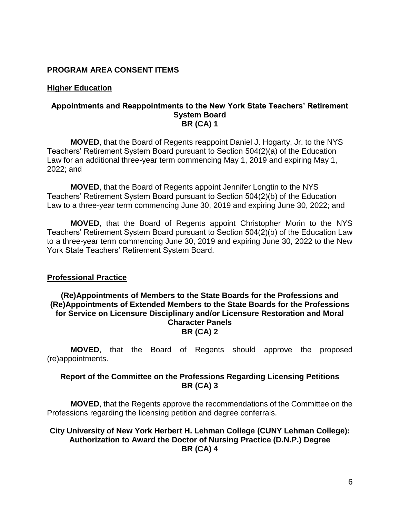#### **PROGRAM AREA CONSENT ITEMS**

#### **Higher Education**

#### **Appointments and Reappointments to the New York State Teachers' Retirement System Board BR (CA) 1**

**MOVED**, that the Board of Regents reappoint Daniel J. Hogarty, Jr. to the NYS Teachers' Retirement System Board pursuant to Section 504(2)(a) of the Education Law for an additional three-year term commencing May 1, 2019 and expiring May 1, 2022; and

**MOVED**, that the Board of Regents appoint Jennifer Longtin to the NYS Teachers' Retirement System Board pursuant to Section 504(2)(b) of the Education Law to a three-year term commencing June 30, 2019 and expiring June 30, 2022; and

**MOVED**, that the Board of Regents appoint Christopher Morin to the NYS Teachers' Retirement System Board pursuant to Section 504(2)(b) of the Education Law to a three-year term commencing June 30, 2019 and expiring June 30, 2022 to the New York State Teachers' Retirement System Board.

#### **Professional Practice**

#### **(Re)Appointments of Members to the State Boards for the Professions and (Re)Appointments of Extended Members to the State Boards for the Professions for Service on Licensure Disciplinary and/or Licensure Restoration and Moral Character Panels BR (CA) 2**

**MOVED**, that the Board of Regents should approve the proposed (re)appointments.

#### **Report of the Committee on the Professions Regarding Licensing Petitions BR (CA) 3**

**MOVED**, that the Regents approve the recommendations of the Committee on the Professions regarding the licensing petition and degree conferrals.

#### **City University of New York Herbert H. Lehman College (CUNY Lehman College): Authorization to Award the Doctor of Nursing Practice (D.N.P.) Degree BR (CA) 4**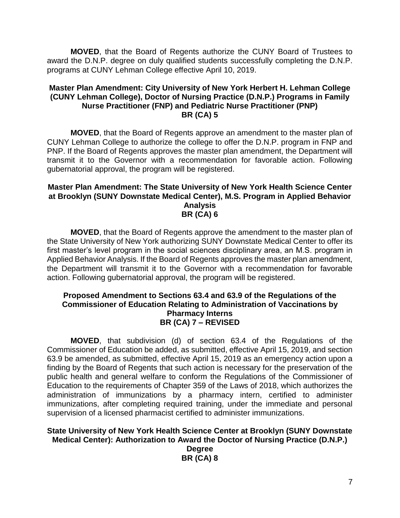**MOVED**, that the Board of Regents authorize the CUNY Board of Trustees to award the D.N.P. degree on duly qualified students successfully completing the D.N.P. programs at CUNY Lehman College effective April 10, 2019.

#### **Master Plan Amendment: City University of New York Herbert H. Lehman College (CUNY Lehman College), Doctor of Nursing Practice (D.N.P.) Programs in Family Nurse Practitioner (FNP) and Pediatric Nurse Practitioner (PNP) BR (CA) 5**

**MOVED**, that the Board of Regents approve an amendment to the master plan of CUNY Lehman College to authorize the college to offer the D.N.P. program in FNP and PNP. If the Board of Regents approves the master plan amendment, the Department will transmit it to the Governor with a recommendation for favorable action. Following gubernatorial approval, the program will be registered.

#### **Master Plan Amendment: The State University of New York Health Science Center at Brooklyn (SUNY Downstate Medical Center), M.S. Program in Applied Behavior Analysis BR (CA) 6**

**MOVED**, that the Board of Regents approve the amendment to the master plan of the State University of New York authorizing SUNY Downstate Medical Center to offer its first master's level program in the social sciences disciplinary area, an M.S. program in Applied Behavior Analysis. If the Board of Regents approves the master plan amendment, the Department will transmit it to the Governor with a recommendation for favorable action. Following gubernatorial approval, the program will be registered.

#### **Proposed Amendment to Sections 63.4 and 63.9 of the Regulations of the Commissioner of Education Relating to Administration of Vaccinations by Pharmacy Interns BR (CA) 7 – REVISED**

**MOVED**, that subdivision (d) of section 63.4 of the Regulations of the Commissioner of Education be added, as submitted, effective April 15, 2019, and section 63.9 be amended, as submitted, effective April 15, 2019 as an emergency action upon a finding by the Board of Regents that such action is necessary for the preservation of the public health and general welfare to conform the Regulations of the Commissioner of Education to the requirements of Chapter 359 of the Laws of 2018, which authorizes the administration of immunizations by a pharmacy intern, certified to administer immunizations, after completing required training, under the immediate and personal supervision of a licensed pharmacist certified to administer immunizations.

#### **State University of New York Health Science Center at Brooklyn (SUNY Downstate Medical Center): Authorization to Award the Doctor of Nursing Practice (D.N.P.)**

**Degree BR (CA) 8**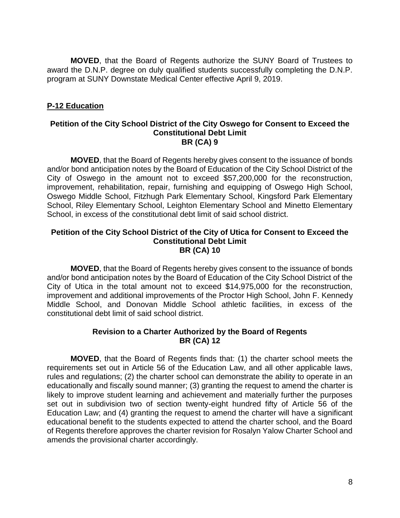**MOVED**, that the Board of Regents authorize the SUNY Board of Trustees to award the D.N.P. degree on duly qualified students successfully completing the D.N.P. program at SUNY Downstate Medical Center effective April 9, 2019.

#### **P-12 Education**

#### **Petition of the City School District of the City Oswego for Consent to Exceed the Constitutional Debt Limit BR (CA) 9**

**MOVED**, that the Board of Regents hereby gives consent to the issuance of bonds and/or bond anticipation notes by the Board of Education of the City School District of the City of Oswego in the amount not to exceed \$57,200,000 for the reconstruction, improvement, rehabilitation, repair, furnishing and equipping of Oswego High School, Oswego Middle School, Fitzhugh Park Elementary School, Kingsford Park Elementary School, Riley Elementary School, Leighton Elementary School and Minetto Elementary School, in excess of the constitutional debt limit of said school district.

#### **Petition of the City School District of the City of Utica for Consent to Exceed the Constitutional Debt Limit BR (CA) 10**

**MOVED**, that the Board of Regents hereby gives consent to the issuance of bonds and/or bond anticipation notes by the Board of Education of the City School District of the City of Utica in the total amount not to exceed \$14,975,000 for the reconstruction, improvement and additional improvements of the Proctor High School, John F. Kennedy Middle School, and Donovan Middle School athletic facilities, in excess of the constitutional debt limit of said school district.

#### **Revision to a Charter Authorized by the Board of Regents BR (CA) 12**

**MOVED**, that the Board of Regents finds that: (1) the charter school meets the requirements set out in Article 56 of the Education Law, and all other applicable laws, rules and regulations; (2) the charter school can demonstrate the ability to operate in an educationally and fiscally sound manner; (3) granting the request to amend the charter is likely to improve student learning and achievement and materially further the purposes set out in subdivision two of section twenty-eight hundred fifty of Article 56 of the Education Law; and (4) granting the request to amend the charter will have a significant educational benefit to the students expected to attend the charter school, and the Board of Regents therefore approves the charter revision for Rosalyn Yalow Charter School and amends the provisional charter accordingly.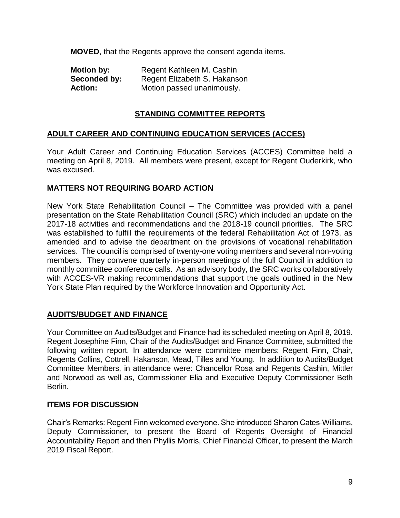**MOVED**, that the Regents approve the consent agenda items.

| <b>Motion by:</b> | Regent Kathleen M. Cashin    |
|-------------------|------------------------------|
| Seconded by:      | Regent Elizabeth S. Hakanson |
| <b>Action:</b>    | Motion passed unanimously.   |

#### **STANDING COMMITTEE REPORTS**

#### **ADULT CAREER AND CONTINUING EDUCATION SERVICES (ACCES)**

Your Adult Career and Continuing Education Services (ACCES) Committee held a meeting on April 8, 2019. All members were present, except for Regent Ouderkirk, who was excused.

#### **MATTERS NOT REQUIRING BOARD ACTION**

New York State Rehabilitation Council – The Committee was provided with a panel presentation on the State Rehabilitation Council (SRC) which included an update on the 2017-18 activities and recommendations and the 2018-19 council priorities. The SRC was established to fulfill the requirements of the federal Rehabilitation Act of 1973, as amended and to advise the department on the provisions of vocational rehabilitation services. The council is comprised of twenty-one voting members and several non-voting members. They convene quarterly in-person meetings of the full Council in addition to monthly committee conference calls. As an advisory body, the SRC works collaboratively with ACCES-VR making recommendations that support the goals outlined in the New York State Plan required by the Workforce Innovation and Opportunity Act.

#### **AUDITS/BUDGET AND FINANCE**

Your Committee on Audits/Budget and Finance had its scheduled meeting on April 8, 2019. Regent Josephine Finn, Chair of the Audits/Budget and Finance Committee, submitted the following written report. In attendance were committee members: Regent Finn, Chair, Regents Collins, Cottrell, Hakanson, Mead, Tilles and Young. In addition to Audits/Budget Committee Members, in attendance were: Chancellor Rosa and Regents Cashin, Mittler and Norwood as well as, Commissioner Elia and Executive Deputy Commissioner Beth Berlin.

#### **ITEMS FOR DISCUSSION**

Chair's Remarks: Regent Finn welcomed everyone. She introduced Sharon Cates-Williams, Deputy Commissioner, to present the Board of Regents Oversight of Financial Accountability Report and then Phyllis Morris, Chief Financial Officer, to present the March 2019 Fiscal Report.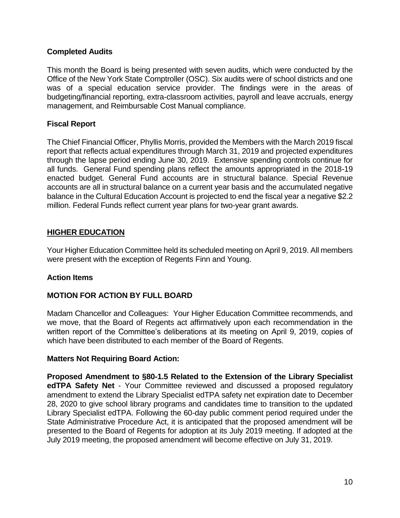#### **Completed Audits**

This month the Board is being presented with seven audits, which were conducted by the Office of the New York State Comptroller (OSC). Six audits were of school districts and one was of a special education service provider. The findings were in the areas of budgeting/financial reporting, extra-classroom activities, payroll and leave accruals, energy management, and Reimbursable Cost Manual compliance.

#### **Fiscal Report**

The Chief Financial Officer, Phyllis Morris, provided the Members with the March 2019 fiscal report that reflects actual expenditures through March 31, 2019 and projected expenditures through the lapse period ending June 30, 2019. Extensive spending controls continue for all funds. General Fund spending plans reflect the amounts appropriated in the 2018-19 enacted budget. General Fund accounts are in structural balance. Special Revenue accounts are all in structural balance on a current year basis and the accumulated negative balance in the Cultural Education Account is projected to end the fiscal year a negative \$2.2 million. Federal Funds reflect current year plans for two-year grant awards.

#### **HIGHER EDUCATION**

Your Higher Education Committee held its scheduled meeting on April 9, 2019. All members were present with the exception of Regents Finn and Young.

#### **Action Items**

#### **MOTION FOR ACTION BY FULL BOARD**

Madam Chancellor and Colleagues: Your Higher Education Committee recommends, and we move, that the Board of Regents act affirmatively upon each recommendation in the written report of the Committee's deliberations at its meeting on April 9, 2019, copies of which have been distributed to each member of the Board of Regents.

#### **Matters Not Requiring Board Action:**

**Proposed Amendment to §80-1.5 Related to the Extension of the Library Specialist edTPA Safety Net** - Your Committee reviewed and discussed a proposed regulatory amendment to extend the Library Specialist edTPA safety net expiration date to December 28, 2020 to give school library programs and candidates time to transition to the updated Library Specialist edTPA. Following the 60-day public comment period required under the State Administrative Procedure Act, it is anticipated that the proposed amendment will be presented to the Board of Regents for adoption at its July 2019 meeting. If adopted at the July 2019 meeting, the proposed amendment will become effective on July 31, 2019.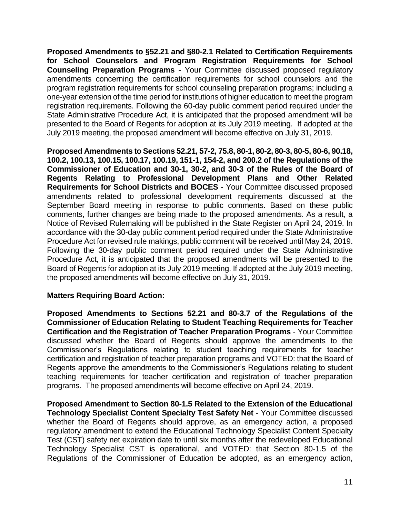**Proposed Amendments to §52.21 and §80-2.1 Related to Certification Requirements for School Counselors and Program Registration Requirements for School Counseling Preparation Programs** - Your Committee discussed proposed regulatory amendments concerning the certification requirements for school counselors and the program registration requirements for school counseling preparation programs; including a one-year extension of the time period for institutions of higher education to meet the program registration requirements. Following the 60-day public comment period required under the State Administrative Procedure Act, it is anticipated that the proposed amendment will be presented to the Board of Regents for adoption at its July 2019 meeting. If adopted at the July 2019 meeting, the proposed amendment will become effective on July 31, 2019.

**Proposed Amendments to Sections 52.21, 57-2, 75.8, 80-1, 80-2, 80-3, 80-5, 80-6, 90.18, 100.2, 100.13, 100.15, 100.17, 100.19, 151-1, 154-2, and 200.2 of the Regulations of the Commissioner of Education and 30-1, 30-2, and 30-3 of the Rules of the Board of Regents Relating to Professional Development Plans and Other Related Requirements for School Districts and BOCES** - Your Committee discussed proposed amendments related to professional development requirements discussed at the September Board meeting in response to public comments. Based on these public comments, further changes are being made to the proposed amendments. As a result, a Notice of Revised Rulemaking will be published in the State Register on April 24, 2019. In accordance with the 30-day public comment period required under the State Administrative Procedure Act for revised rule makings, public comment will be received until May 24, 2019. Following the 30-day public comment period required under the State Administrative Procedure Act, it is anticipated that the proposed amendments will be presented to the Board of Regents for adoption at its July 2019 meeting. If adopted at the July 2019 meeting, the proposed amendments will become effective on July 31, 2019.

#### **Matters Requiring Board Action:**

**Proposed Amendments to Sections 52.21 and 80-3.7 of the Regulations of the Commissioner of Education Relating to Student Teaching Requirements for Teacher Certification and the Registration of Teacher Preparation Programs** - Your Committee discussed whether the Board of Regents should approve the amendments to the Commissioner's Regulations relating to student teaching requirements for teacher certification and registration of teacher preparation programs and VOTED: that the Board of Regents approve the amendments to the Commissioner's Regulations relating to student teaching requirements for teacher certification and registration of teacher preparation programs. The proposed amendments will become effective on April 24, 2019.

**Proposed Amendment to Section 80-1.5 Related to the Extension of the Educational Technology Specialist Content Specialty Test Safety Net** - Your Committee discussed whether the Board of Regents should approve, as an emergency action, a proposed regulatory amendment to extend the Educational Technology Specialist Content Specialty Test (CST) safety net expiration date to until six months after the redeveloped Educational Technology Specialist CST is operational, and VOTED: that Section 80-1.5 of the Regulations of the Commissioner of Education be adopted, as an emergency action,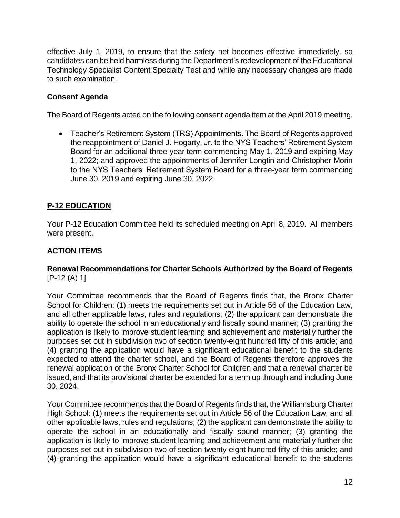effective July 1, 2019, to ensure that the safety net becomes effective immediately, so candidates can be held harmless during the Department's redevelopment of the Educational Technology Specialist Content Specialty Test and while any necessary changes are made to such examination.

#### **Consent Agenda**

The Board of Regents acted on the following consent agenda item at the April 2019 meeting.

• Teacher's Retirement System (TRS) Appointments. The Board of Regents approved the reappointment of Daniel J. Hogarty, Jr. to the NYS Teachers' Retirement System Board for an additional three-year term commencing May 1, 2019 and expiring May 1, 2022; and approved the appointments of Jennifer Longtin and Christopher Morin to the NYS Teachers' Retirement System Board for a three-year term commencing June 30, 2019 and expiring June 30, 2022.

#### **P-12 EDUCATION**

Your P-12 Education Committee held its scheduled meeting on April 8, 2019. All members were present.

#### **ACTION ITEMS**

#### **Renewal Recommendations for Charter Schools Authorized by the Board of Regents** [P-12 (A) 1]

Your Committee recommends that the Board of Regents finds that, the Bronx Charter School for Children: (1) meets the requirements set out in Article 56 of the Education Law, and all other applicable laws, rules and regulations; (2) the applicant can demonstrate the ability to operate the school in an educationally and fiscally sound manner; (3) granting the application is likely to improve student learning and achievement and materially further the purposes set out in subdivision two of section twenty-eight hundred fifty of this article; and (4) granting the application would have a significant educational benefit to the students expected to attend the charter school, and the Board of Regents therefore approves the renewal application of the Bronx Charter School for Children and that a renewal charter be issued, and that its provisional charter be extended for a term up through and including June 30, 2024.

Your Committee recommends that the Board of Regents finds that, the Williamsburg Charter High School: (1) meets the requirements set out in Article 56 of the Education Law, and all other applicable laws, rules and regulations; (2) the applicant can demonstrate the ability to operate the school in an educationally and fiscally sound manner; (3) granting the application is likely to improve student learning and achievement and materially further the purposes set out in subdivision two of section twenty-eight hundred fifty of this article; and (4) granting the application would have a significant educational benefit to the students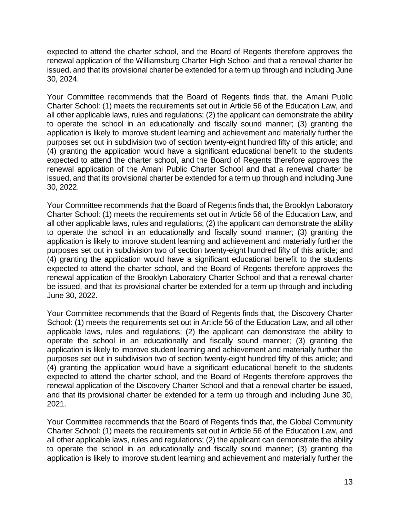expected to attend the charter school, and the Board of Regents therefore approves the renewal application of the Williamsburg Charter High School and that a renewal charter be issued, and that its provisional charter be extended for a term up through and including June 30, 2024.

Your Committee recommends that the Board of Regents finds that, the Amani Public Charter School: (1) meets the requirements set out in Article 56 of the Education Law, and all other applicable laws, rules and regulations; (2) the applicant can demonstrate the ability to operate the school in an educationally and fiscally sound manner; (3) granting the application is likely to improve student learning and achievement and materially further the purposes set out in subdivision two of section twenty-eight hundred fifty of this article; and (4) granting the application would have a significant educational benefit to the students expected to attend the charter school, and the Board of Regents therefore approves the renewal application of the Amani Public Charter School and that a renewal charter be issued, and that its provisional charter be extended for a term up through and including June 30, 2022.

Your Committee recommends that the Board of Regents finds that, the Brooklyn Laboratory Charter School: (1) meets the requirements set out in Article 56 of the Education Law, and all other applicable laws, rules and regulations; (2) the applicant can demonstrate the ability to operate the school in an educationally and fiscally sound manner; (3) granting the application is likely to improve student learning and achievement and materially further the purposes set out in subdivision two of section twenty-eight hundred fifty of this article; and (4) granting the application would have a significant educational benefit to the students expected to attend the charter school, and the Board of Regents therefore approves the renewal application of the Brooklyn Laboratory Charter School and that a renewal charter be issued, and that its provisional charter be extended for a term up through and including June 30, 2022.

Your Committee recommends that the Board of Regents finds that, the Discovery Charter School: (1) meets the requirements set out in Article 56 of the Education Law, and all other applicable laws, rules and regulations; (2) the applicant can demonstrate the ability to operate the school in an educationally and fiscally sound manner; (3) granting the application is likely to improve student learning and achievement and materially further the purposes set out in subdivision two of section twenty-eight hundred fifty of this article; and (4) granting the application would have a significant educational benefit to the students expected to attend the charter school, and the Board of Regents therefore approves the renewal application of the Discovery Charter School and that a renewal charter be issued, and that its provisional charter be extended for a term up through and including June 30, 2021.

Your Committee recommends that the Board of Regents finds that, the Global Community Charter School: (1) meets the requirements set out in Article 56 of the Education Law, and all other applicable laws, rules and regulations; (2) the applicant can demonstrate the ability to operate the school in an educationally and fiscally sound manner; (3) granting the application is likely to improve student learning and achievement and materially further the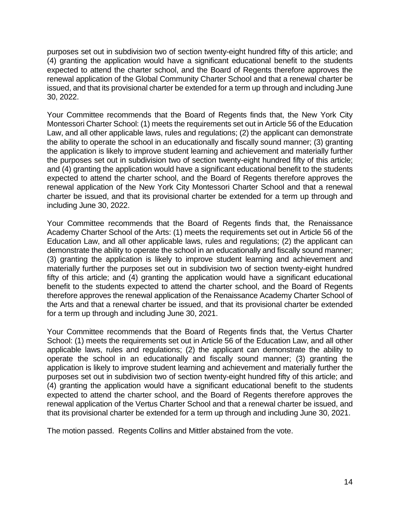purposes set out in subdivision two of section twenty-eight hundred fifty of this article; and (4) granting the application would have a significant educational benefit to the students expected to attend the charter school, and the Board of Regents therefore approves the renewal application of the Global Community Charter School and that a renewal charter be issued, and that its provisional charter be extended for a term up through and including June 30, 2022.

Your Committee recommends that the Board of Regents finds that, the New York City Montessori Charter School: (1) meets the requirements set out in Article 56 of the Education Law, and all other applicable laws, rules and regulations; (2) the applicant can demonstrate the ability to operate the school in an educationally and fiscally sound manner; (3) granting the application is likely to improve student learning and achievement and materially further the purposes set out in subdivision two of section twenty-eight hundred fifty of this article; and (4) granting the application would have a significant educational benefit to the students expected to attend the charter school, and the Board of Regents therefore approves the renewal application of the New York City Montessori Charter School and that a renewal charter be issued, and that its provisional charter be extended for a term up through and including June 30, 2022.

Your Committee recommends that the Board of Regents finds that, the Renaissance Academy Charter School of the Arts: (1) meets the requirements set out in Article 56 of the Education Law, and all other applicable laws, rules and regulations; (2) the applicant can demonstrate the ability to operate the school in an educationally and fiscally sound manner; (3) granting the application is likely to improve student learning and achievement and materially further the purposes set out in subdivision two of section twenty-eight hundred fifty of this article; and (4) granting the application would have a significant educational benefit to the students expected to attend the charter school, and the Board of Regents therefore approves the renewal application of the Renaissance Academy Charter School of the Arts and that a renewal charter be issued, and that its provisional charter be extended for a term up through and including June 30, 2021.

Your Committee recommends that the Board of Regents finds that, the Vertus Charter School: (1) meets the requirements set out in Article 56 of the Education Law, and all other applicable laws, rules and regulations; (2) the applicant can demonstrate the ability to operate the school in an educationally and fiscally sound manner; (3) granting the application is likely to improve student learning and achievement and materially further the purposes set out in subdivision two of section twenty-eight hundred fifty of this article; and (4) granting the application would have a significant educational benefit to the students expected to attend the charter school, and the Board of Regents therefore approves the renewal application of the Vertus Charter School and that a renewal charter be issued, and that its provisional charter be extended for a term up through and including June 30, 2021.

The motion passed. Regents Collins and Mittler abstained from the vote.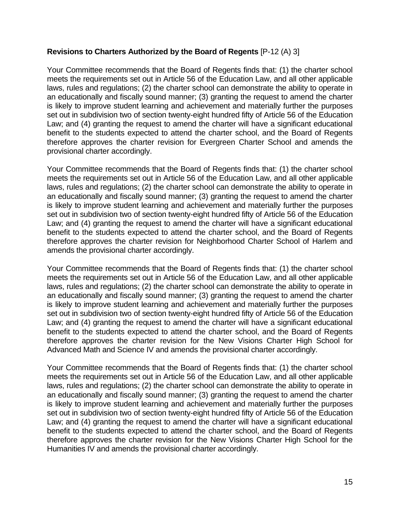#### **Revisions to Charters Authorized by the Board of Regents** [P-12 (A) 3]

Your Committee recommends that the Board of Regents finds that: (1) the charter school meets the requirements set out in Article 56 of the Education Law, and all other applicable laws, rules and regulations; (2) the charter school can demonstrate the ability to operate in an educationally and fiscally sound manner; (3) granting the request to amend the charter is likely to improve student learning and achievement and materially further the purposes set out in subdivision two of section twenty-eight hundred fifty of Article 56 of the Education Law; and (4) granting the request to amend the charter will have a significant educational benefit to the students expected to attend the charter school, and the Board of Regents therefore approves the charter revision for Evergreen Charter School and amends the provisional charter accordingly.

Your Committee recommends that the Board of Regents finds that: (1) the charter school meets the requirements set out in Article 56 of the Education Law, and all other applicable laws, rules and regulations; (2) the charter school can demonstrate the ability to operate in an educationally and fiscally sound manner; (3) granting the request to amend the charter is likely to improve student learning and achievement and materially further the purposes set out in subdivision two of section twenty-eight hundred fifty of Article 56 of the Education Law; and (4) granting the request to amend the charter will have a significant educational benefit to the students expected to attend the charter school, and the Board of Regents therefore approves the charter revision for Neighborhood Charter School of Harlem and amends the provisional charter accordingly.

Your Committee recommends that the Board of Regents finds that: (1) the charter school meets the requirements set out in Article 56 of the Education Law, and all other applicable laws, rules and regulations; (2) the charter school can demonstrate the ability to operate in an educationally and fiscally sound manner; (3) granting the request to amend the charter is likely to improve student learning and achievement and materially further the purposes set out in subdivision two of section twenty-eight hundred fifty of Article 56 of the Education Law; and (4) granting the request to amend the charter will have a significant educational benefit to the students expected to attend the charter school, and the Board of Regents therefore approves the charter revision for the New Visions Charter High School for Advanced Math and Science IV and amends the provisional charter accordingly.

Your Committee recommends that the Board of Regents finds that: (1) the charter school meets the requirements set out in Article 56 of the Education Law, and all other applicable laws, rules and regulations; (2) the charter school can demonstrate the ability to operate in an educationally and fiscally sound manner; (3) granting the request to amend the charter is likely to improve student learning and achievement and materially further the purposes set out in subdivision two of section twenty-eight hundred fifty of Article 56 of the Education Law; and (4) granting the request to amend the charter will have a significant educational benefit to the students expected to attend the charter school, and the Board of Regents therefore approves the charter revision for the New Visions Charter High School for the Humanities IV and amends the provisional charter accordingly.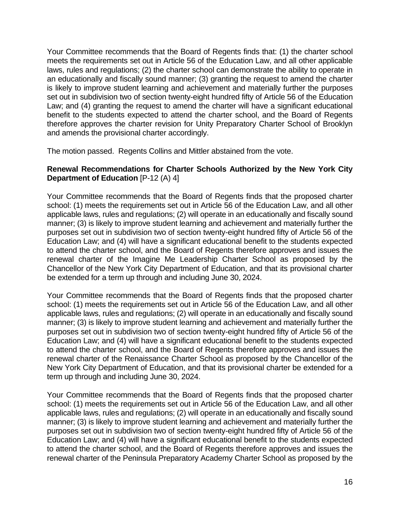Your Committee recommends that the Board of Regents finds that: (1) the charter school meets the requirements set out in Article 56 of the Education Law, and all other applicable laws, rules and regulations; (2) the charter school can demonstrate the ability to operate in an educationally and fiscally sound manner; (3) granting the request to amend the charter is likely to improve student learning and achievement and materially further the purposes set out in subdivision two of section twenty-eight hundred fifty of Article 56 of the Education Law; and (4) granting the request to amend the charter will have a significant educational benefit to the students expected to attend the charter school, and the Board of Regents therefore approves the charter revision for Unity Preparatory Charter School of Brooklyn and amends the provisional charter accordingly.

The motion passed. Regents Collins and Mittler abstained from the vote.

#### **Renewal Recommendations for Charter Schools Authorized by the New York City Department of Education** [P-12 (A) 4]

Your Committee recommends that the Board of Regents finds that the proposed charter school: (1) meets the requirements set out in Article 56 of the Education Law, and all other applicable laws, rules and regulations; (2) will operate in an educationally and fiscally sound manner; (3) is likely to improve student learning and achievement and materially further the purposes set out in subdivision two of section twenty-eight hundred fifty of Article 56 of the Education Law; and (4) will have a significant educational benefit to the students expected to attend the charter school, and the Board of Regents therefore approves and issues the renewal charter of the Imagine Me Leadership Charter School as proposed by the Chancellor of the New York City Department of Education, and that its provisional charter be extended for a term up through and including June 30, 2024.

Your Committee recommends that the Board of Regents finds that the proposed charter school: (1) meets the requirements set out in Article 56 of the Education Law, and all other applicable laws, rules and regulations; (2) will operate in an educationally and fiscally sound manner; (3) is likely to improve student learning and achievement and materially further the purposes set out in subdivision two of section twenty-eight hundred fifty of Article 56 of the Education Law; and (4) will have a significant educational benefit to the students expected to attend the charter school, and the Board of Regents therefore approves and issues the renewal charter of the Renaissance Charter School as proposed by the Chancellor of the New York City Department of Education, and that its provisional charter be extended for a term up through and including June 30, 2024.

Your Committee recommends that the Board of Regents finds that the proposed charter school: (1) meets the requirements set out in Article 56 of the Education Law, and all other applicable laws, rules and regulations; (2) will operate in an educationally and fiscally sound manner; (3) is likely to improve student learning and achievement and materially further the purposes set out in subdivision two of section twenty-eight hundred fifty of Article 56 of the Education Law; and (4) will have a significant educational benefit to the students expected to attend the charter school, and the Board of Regents therefore approves and issues the renewal charter of the Peninsula Preparatory Academy Charter School as proposed by the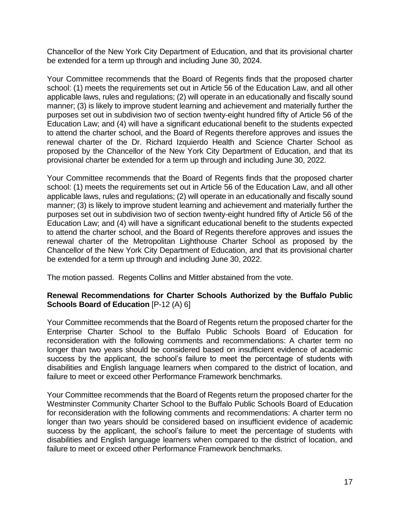Chancellor of the New York City Department of Education, and that its provisional charter be extended for a term up through and including June 30, 2024.

Your Committee recommends that the Board of Regents finds that the proposed charter school: (1) meets the requirements set out in Article 56 of the Education Law, and all other applicable laws, rules and regulations; (2) will operate in an educationally and fiscally sound manner; (3) is likely to improve student learning and achievement and materially further the purposes set out in subdivision two of section twenty-eight hundred fifty of Article 56 of the Education Law; and (4) will have a significant educational benefit to the students expected to attend the charter school, and the Board of Regents therefore approves and issues the renewal charter of the Dr. Richard Izquierdo Health and Science Charter School as proposed by the Chancellor of the New York City Department of Education, and that its provisional charter be extended for a term up through and including June 30, 2022.

Your Committee recommends that the Board of Regents finds that the proposed charter school: (1) meets the requirements set out in Article 56 of the Education Law, and all other applicable laws, rules and regulations; (2) will operate in an educationally and fiscally sound manner; (3) is likely to improve student learning and achievement and materially further the purposes set out in subdivision two of section twenty-eight hundred fifty of Article 56 of the Education Law; and (4) will have a significant educational benefit to the students expected to attend the charter school, and the Board of Regents therefore approves and issues the renewal charter of the Metropolitan Lighthouse Charter School as proposed by the Chancellor of the New York City Department of Education, and that its provisional charter be extended for a term up through and including June 30, 2022.

The motion passed. Regents Collins and Mittler abstained from the vote.

#### **Renewal Recommendations for Charter Schools Authorized by the Buffalo Public Schools Board of Education** [P-12 (A) 6]

Your Committee recommends that the Board of Regents return the proposed charter for the Enterprise Charter School to the Buffalo Public Schools Board of Education for reconsideration with the following comments and recommendations: A charter term no longer than two years should be considered based on insufficient evidence of academic success by the applicant, the school's failure to meet the percentage of students with disabilities and English language learners when compared to the district of location, and failure to meet or exceed other Performance Framework benchmarks.

Your Committee recommends that the Board of Regents return the proposed charter for the Westminster Community Charter School to the Buffalo Public Schools Board of Education for reconsideration with the following comments and recommendations: A charter term no longer than two years should be considered based on insufficient evidence of academic success by the applicant, the school's failure to meet the percentage of students with disabilities and English language learners when compared to the district of location, and failure to meet or exceed other Performance Framework benchmarks.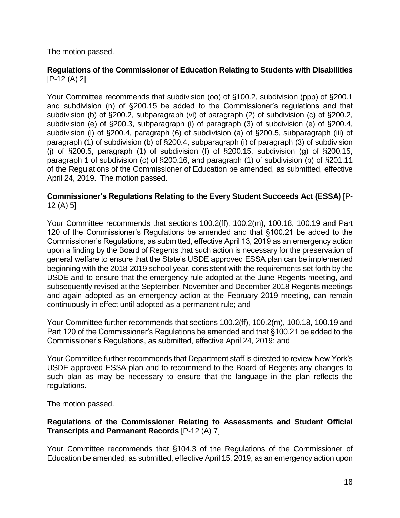The motion passed.

#### **Regulations of the Commissioner of Education Relating to Students with Disabilities** [P-12 (A) 2]

Your Committee recommends that subdivision (oo) of §100.2, subdivision (ppp) of §200.1 and subdivision (n) of §200.15 be added to the Commissioner's regulations and that subdivision (b) of §200.2, subparagraph (vi) of paragraph (2) of subdivision (c) of §200.2, subdivision (e) of §200.3, subparagraph (i) of paragraph (3) of subdivision (e) of §200.4, subdivision (i) of §200.4, paragraph (6) of subdivision (a) of §200.5, subparagraph (iii) of paragraph (1) of subdivision (b) of §200.4, subparagraph (i) of paragraph (3) of subdivision (i) of  $\S200.5$ , paragraph (1) of subdivision (f) of  $\S200.15$ , subdivision (g) of  $\S200.15$ , paragraph 1 of subdivision (c) of §200.16, and paragraph (1) of subdivision (b) of §201.11 of the Regulations of the Commissioner of Education be amended, as submitted, effective April 24, 2019. The motion passed.

#### **Commissioner's Regulations Relating to the Every Student Succeeds Act (ESSA)** [P-12 (A) 5]

Your Committee recommends that sections 100.2(ff), 100.2(m), 100.18, 100.19 and Part 120 of the Commissioner's Regulations be amended and that §100.21 be added to the Commissioner's Regulations, as submitted, effective April 13, 2019 as an emergency action upon a finding by the Board of Regents that such action is necessary for the preservation of general welfare to ensure that the State's USDE approved ESSA plan can be implemented beginning with the 2018-2019 school year, consistent with the requirements set forth by the USDE and to ensure that the emergency rule adopted at the June Regents meeting, and subsequently revised at the September, November and December 2018 Regents meetings and again adopted as an emergency action at the February 2019 meeting, can remain continuously in effect until adopted as a permanent rule; and

Your Committee further recommends that sections 100.2(ff), 100.2(m), 100.18, 100.19 and Part 120 of the Commissioner's Regulations be amended and that §100.21 be added to the Commissioner's Regulations, as submitted, effective April 24, 2019; and

Your Committee further recommends that Department staff is directed to review New York's USDE-approved ESSA plan and to recommend to the Board of Regents any changes to such plan as may be necessary to ensure that the language in the plan reflects the regulations.

The motion passed.

#### **Regulations of the Commissioner Relating to Assessments and Student Official Transcripts and Permanent Records** [P-12 (A) 7]

Your Committee recommends that §104.3 of the Regulations of the Commissioner of Education be amended, as submitted, effective April 15, 2019, as an emergency action upon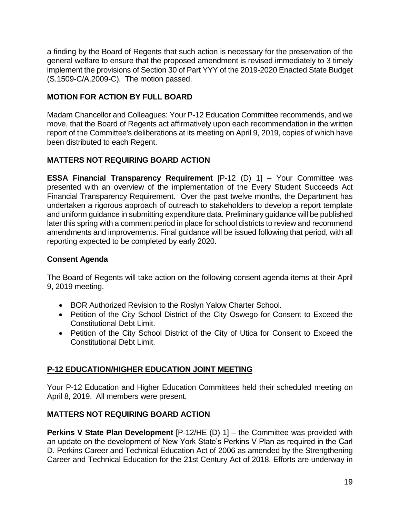a finding by the Board of Regents that such action is necessary for the preservation of the general welfare to ensure that the proposed amendment is revised immediately to 3 timely implement the provisions of Section 30 of Part YYY of the 2019-2020 Enacted State Budget (S.1509-C/A.2009-C). The motion passed.

#### **MOTION FOR ACTION BY FULL BOARD**

Madam Chancellor and Colleagues: Your P-12 Education Committee recommends, and we move, that the Board of Regents act affirmatively upon each recommendation in the written report of the Committee's deliberations at its meeting on April 9, 2019, copies of which have been distributed to each Regent.

#### **MATTERS NOT REQUIRING BOARD ACTION**

**ESSA Financial Transparency Requirement** [P-12 (D) 1] – Your Committee was presented with an overview of the implementation of the Every Student Succeeds Act Financial Transparency Requirement. Over the past twelve months, the Department has undertaken a rigorous approach of outreach to stakeholders to develop a report template and uniform guidance in submitting expenditure data. Preliminary guidance will be published later this spring with a comment period in place for school districts to review and recommend amendments and improvements. Final guidance will be issued following that period, with all reporting expected to be completed by early 2020.

#### **Consent Agenda**

The Board of Regents will take action on the following consent agenda items at their April 9, 2019 meeting.

- BOR Authorized Revision to the Roslyn Yalow Charter School.
- Petition of the City School District of the City Oswego for Consent to Exceed the Constitutional Debt Limit.
- Petition of the City School District of the City of Utica for Consent to Exceed the Constitutional Debt Limit.

#### **P-12 EDUCATION/HIGHER EDUCATION JOINT MEETING**

Your P-12 Education and Higher Education Committees held their scheduled meeting on April 8, 2019. All members were present.

#### **MATTERS NOT REQUIRING BOARD ACTION**

**Perkins V State Plan Development** [P-12/HE (D) 1] – the Committee was provided with an update on the development of New York State's Perkins V Plan as required in the Carl D. Perkins Career and Technical Education Act of 2006 as amended by the Strengthening Career and Technical Education for the 21st Century Act of 2018. Efforts are underway in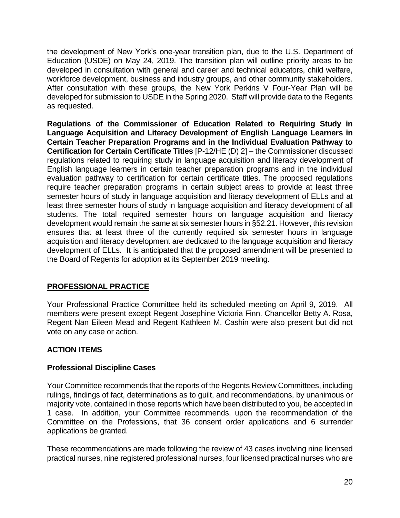the development of New York's one-year transition plan, due to the U.S. Department of Education (USDE) on May 24, 2019. The transition plan will outline priority areas to be developed in consultation with general and career and technical educators, child welfare, workforce development, business and industry groups, and other community stakeholders. After consultation with these groups, the New York Perkins V Four-Year Plan will be developed for submission to USDE in the Spring 2020. Staff will provide data to the Regents as requested.

**Regulations of the Commissioner of Education Related to Requiring Study in Language Acquisition and Literacy Development of English Language Learners in Certain Teacher Preparation Programs and in the Individual Evaluation Pathway to Certification for Certain Certificate Titles** [P-12/HE (D) 2] – the Commissioner discussed regulations related to requiring study in language acquisition and literacy development of English language learners in certain teacher preparation programs and in the individual evaluation pathway to certification for certain certificate titles. The proposed regulations require teacher preparation programs in certain subject areas to provide at least three semester hours of study in language acquisition and literacy development of ELLs and at least three semester hours of study in language acquisition and literacy development of all students. The total required semester hours on language acquisition and literacy development would remain the same at six semester hours in §52.21. However, this revision ensures that at least three of the currently required six semester hours in language acquisition and literacy development are dedicated to the language acquisition and literacy development of ELLs. It is anticipated that the proposed amendment will be presented to the Board of Regents for adoption at its September 2019 meeting.

#### **PROFESSIONAL PRACTICE**

Your Professional Practice Committee held its scheduled meeting on April 9, 2019. All members were present except Regent Josephine Victoria Finn. Chancellor Betty A. Rosa, Regent Nan Eileen Mead and Regent Kathleen M. Cashin were also present but did not vote on any case or action.

#### **ACTION ITEMS**

#### **Professional Discipline Cases**

Your Committee recommends that the reports of the Regents Review Committees, including rulings, findings of fact, determinations as to guilt, and recommendations, by unanimous or majority vote, contained in those reports which have been distributed to you, be accepted in 1 case. In addition, your Committee recommends, upon the recommendation of the Committee on the Professions, that 36 consent order applications and 6 surrender applications be granted.

These recommendations are made following the review of 43 cases involving nine licensed practical nurses, nine registered professional nurses, four licensed practical nurses who are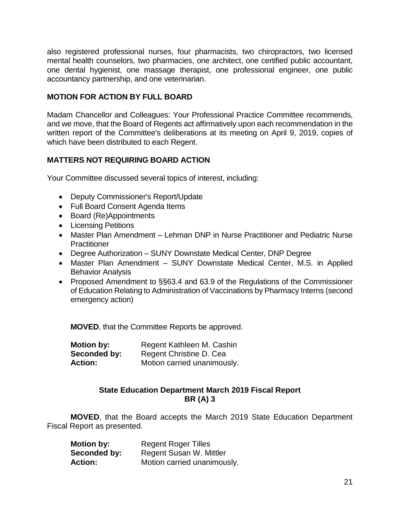also registered professional nurses, four pharmacists, two chiropractors, two licensed mental health counselors, two pharmacies, one architect, one certified public accountant, one dental hygienist, one massage therapist, one professional engineer, one public accountancy partnership, and one veterinarian.

#### **MOTION FOR ACTION BY FULL BOARD**

Madam Chancellor and Colleagues: Your Professional Practice Committee recommends, and we move, that the Board of Regents act affirmatively upon each recommendation in the written report of the Committee's deliberations at its meeting on April 9, 2019, copies of which have been distributed to each Regent.

#### **MATTERS NOT REQUIRING BOARD ACTION**

Your Committee discussed several topics of interest, including:

- Deputy Commissioner's Report/Update
- Full Board Consent Agenda Items
- Board (Re)Appointments
- Licensing Petitions
- Master Plan Amendment Lehman DNP in Nurse Practitioner and Pediatric Nurse **Practitioner**
- Degree Authorization SUNY Downstate Medical Center, DNP Degree
- Master Plan Amendment SUNY Downstate Medical Center, M.S. in Applied Behavior Analysis
- Proposed Amendment to §§63.4 and 63.9 of the Regulations of the Commissioner of Education Relating to Administration of Vaccinations by Pharmacy Interns (second emergency action)

**MOVED**, that the Committee Reports be approved.

| Motion by:     | Regent Kathleen M. Cashin   |
|----------------|-----------------------------|
| Seconded by:   | Regent Christine D. Cea     |
| <b>Action:</b> | Motion carried unanimously. |

#### **State Education Department March 2019 Fiscal Report BR (A) 3**

**MOVED**, that the Board accepts the March 2019 State Education Department Fiscal Report as presented.

| <b>Motion by:</b> | <b>Regent Roger Tilles</b>  |
|-------------------|-----------------------------|
| Seconded by:      | Regent Susan W. Mittler     |
| <b>Action:</b>    | Motion carried unanimously. |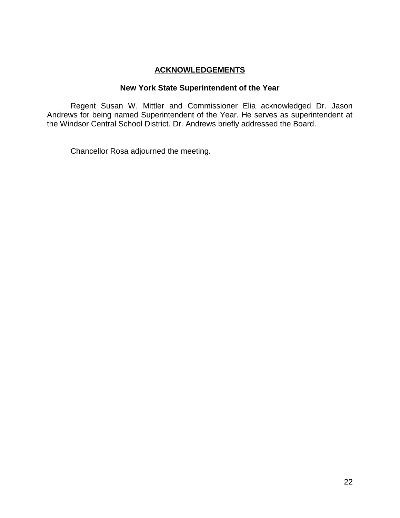#### **ACKNOWLEDGEMENTS**

#### **New York State Superintendent of the Year**

Regent Susan W. Mittler and Commissioner Elia acknowledged Dr. Jason Andrews for being named Superintendent of the Year. He serves as superintendent at the Windsor Central School District. Dr. Andrews briefly addressed the Board.

Chancellor Rosa adjourned the meeting.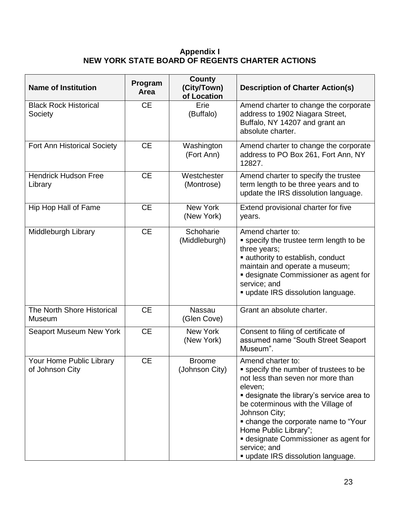#### **Appendix I NEW YORK STATE BOARD OF REGENTS CHARTER ACTIONS**

| <b>Name of Institution</b>                  | Program<br>Area | <b>County</b><br>(City/Town)<br>of Location | <b>Description of Charter Action(s)</b>                                                                                                                                                                                                                                                                                                                                                       |  |
|---------------------------------------------|-----------------|---------------------------------------------|-----------------------------------------------------------------------------------------------------------------------------------------------------------------------------------------------------------------------------------------------------------------------------------------------------------------------------------------------------------------------------------------------|--|
| <b>Black Rock Historical</b><br>Society     | <b>CE</b>       | Erie<br>(Buffalo)                           | Amend charter to change the corporate<br>address to 1902 Niagara Street,<br>Buffalo, NY 14207 and grant an<br>absolute charter.                                                                                                                                                                                                                                                               |  |
| <b>Fort Ann Historical Society</b>          | <b>CE</b>       | Washington<br>(Fort Ann)                    | Amend charter to change the corporate<br>address to PO Box 261, Fort Ann, NY<br>12827.                                                                                                                                                                                                                                                                                                        |  |
| <b>Hendrick Hudson Free</b><br>Library      | <b>CE</b>       | Westchester<br>(Montrose)                   | Amend charter to specify the trustee<br>term length to be three years and to<br>update the IRS dissolution language.                                                                                                                                                                                                                                                                          |  |
| Hip Hop Hall of Fame                        | <b>CE</b>       | New York<br>(New York)                      | Extend provisional charter for five<br>years.                                                                                                                                                                                                                                                                                                                                                 |  |
| Middleburgh Library                         | <b>CE</b>       | Schoharie<br>(Middleburgh)                  | Amend charter to:<br><b>specify the trustee term length to be</b><br>three years;<br>• authority to establish, conduct<br>maintain and operate a museum;<br><b>designate Commissioner as agent for</b><br>service; and<br>" update IRS dissolution language.                                                                                                                                  |  |
| The North Shore Historical<br>Museum        | <b>CE</b>       | Nassau<br>(Glen Cove)                       | Grant an absolute charter.                                                                                                                                                                                                                                                                                                                                                                    |  |
| Seaport Museum New York                     | <b>CE</b>       | New York<br>(New York)                      | Consent to filing of certificate of<br>assumed name "South Street Seaport<br>Museum".                                                                                                                                                                                                                                                                                                         |  |
| Your Home Public Library<br>of Johnson City | <b>CE</b>       | <b>Broome</b><br>(Johnson City)             | Amend charter to:<br>" specify the number of trustees to be<br>not less than seven nor more than<br>eleven;<br><b>-</b> designate the library's service area to<br>be coterminous with the Village of<br>Johnson City;<br>• change the corporate name to "Your<br>Home Public Library";<br><b>-</b> designate Commissioner as agent for<br>service; and<br>" update IRS dissolution language. |  |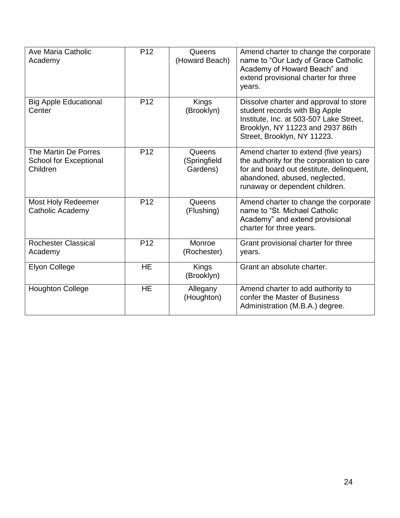| Ave Maria Catholic<br>Academy                              | P <sub>12</sub> | Queens<br>(Howard Beach)           | Amend charter to change the corporate<br>name to "Our Lady of Grace Catholic<br>Academy of Howard Beach" and<br>extend provisional charter for three<br>years.                                   |  |
|------------------------------------------------------------|-----------------|------------------------------------|--------------------------------------------------------------------------------------------------------------------------------------------------------------------------------------------------|--|
| <b>Big Apple Educational</b><br>Center                     | P <sub>12</sub> | Kings<br>(Brooklyn)                | Dissolve charter and approval to store<br>student records with Big Apple<br>Institute, Inc. at 503-507 Lake Street,<br>Brooklyn, NY 11223 and 2937 86th<br>Street, Brooklyn, NY 11223.           |  |
| The Martin De Porres<br>School for Exceptional<br>Children | P <sub>12</sub> | Queens<br>(Springfield<br>Gardens) | Amend charter to extend (five years)<br>the authority for the corporation to care<br>for and board out destitute, delinquent,<br>abandoned, abused, neglected,<br>runaway or dependent children. |  |
| Most Holy Redeemer<br>Catholic Academy                     | P <sub>12</sub> | Queens<br>(Flushing)               | Amend charter to change the corporate<br>name to "St. Michael Catholic<br>Academy" and extend provisional<br>charter for three years.                                                            |  |
| <b>Rochester Classical</b><br>Academy                      | P <sub>12</sub> | Monroe<br>(Rochester)              | Grant provisional charter for three<br>years.                                                                                                                                                    |  |
| <b>Elyon College</b>                                       | <b>HE</b>       | Kings<br>(Brooklyn)                | Grant an absolute charter.                                                                                                                                                                       |  |
| <b>Houghton College</b>                                    | <b>HE</b>       | Allegany<br>(Houghton)             | Amend charter to add authority to<br>confer the Master of Business<br>Administration (M.B.A.) degree.                                                                                            |  |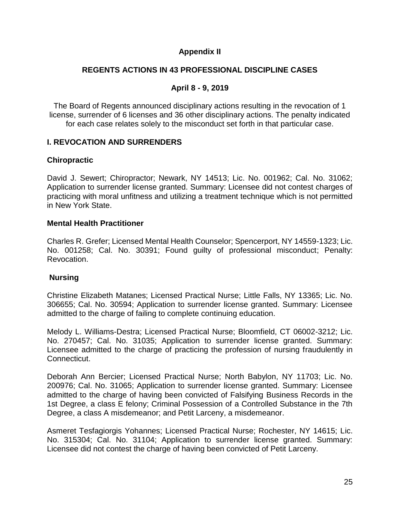#### **Appendix II**

#### **REGENTS ACTIONS IN 43 PROFESSIONAL DISCIPLINE CASES**

#### **April 8 - 9, 2019**

The Board of Regents announced disciplinary actions resulting in the revocation of 1 license, surrender of 6 licenses and 36 other disciplinary actions. The penalty indicated for each case relates solely to the misconduct set forth in that particular case.

#### **I. REVOCATION AND SURRENDERS**

#### **Chiropractic**

David J. Sewert; Chiropractor; Newark, NY 14513; Lic. No. 001962; Cal. No. 31062; Application to surrender license granted. Summary: Licensee did not contest charges of practicing with moral unfitness and utilizing a treatment technique which is not permitted in New York State.

#### **Mental Health Practitioner**

Charles R. Grefer; Licensed Mental Health Counselor; Spencerport, NY 14559-1323; Lic. No. 001258; Cal. No. 30391; Found guilty of professional misconduct; Penalty: Revocation.

#### **Nursing**

Christine Elizabeth Matanes; Licensed Practical Nurse; Little Falls, NY 13365; Lic. No. 306655; Cal. No. 30594; Application to surrender license granted. Summary: Licensee admitted to the charge of failing to complete continuing education.

Melody L. Williams-Destra; Licensed Practical Nurse; Bloomfield, CT 06002-3212; Lic. No. 270457; Cal. No. 31035; Application to surrender license granted. Summary: Licensee admitted to the charge of practicing the profession of nursing fraudulently in Connecticut.

Deborah Ann Bercier; Licensed Practical Nurse; North Babylon, NY 11703; Lic. No. 200976; Cal. No. 31065; Application to surrender license granted. Summary: Licensee admitted to the charge of having been convicted of Falsifying Business Records in the 1st Degree, a class E felony; Criminal Possession of a Controlled Substance in the 7th Degree, a class A misdemeanor; and Petit Larceny, a misdemeanor.

Asmeret Tesfagiorgis Yohannes; Licensed Practical Nurse; Rochester, NY 14615; Lic. No. 315304; Cal. No. 31104; Application to surrender license granted. Summary: Licensee did not contest the charge of having been convicted of Petit Larceny.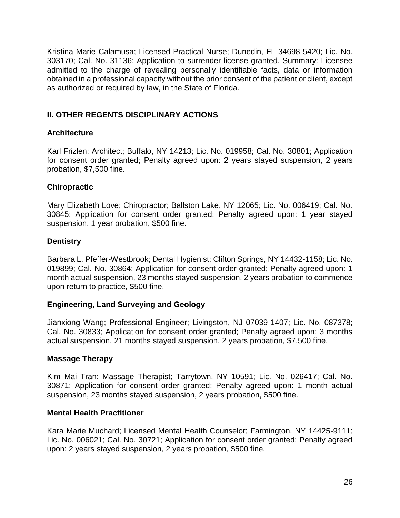Kristina Marie Calamusa; Licensed Practical Nurse; Dunedin, FL 34698-5420; Lic. No. 303170; Cal. No. 31136; Application to surrender license granted. Summary: Licensee admitted to the charge of revealing personally identifiable facts, data or information obtained in a professional capacity without the prior consent of the patient or client, except as authorized or required by law, in the State of Florida.

#### **II. OTHER REGENTS DISCIPLINARY ACTIONS**

#### **Architecture**

Karl Frizlen; Architect; Buffalo, NY 14213; Lic. No. 019958; Cal. No. 30801; Application for consent order granted; Penalty agreed upon: 2 years stayed suspension, 2 years probation, \$7,500 fine.

#### **Chiropractic**

Mary Elizabeth Love; Chiropractor; Ballston Lake, NY 12065; Lic. No. 006419; Cal. No. 30845; Application for consent order granted; Penalty agreed upon: 1 year stayed suspension, 1 year probation, \$500 fine.

#### **Dentistry**

Barbara L. Pfeffer-Westbrook; Dental Hygienist; Clifton Springs, NY 14432-1158; Lic. No. 019899; Cal. No. 30864; Application for consent order granted; Penalty agreed upon: 1 month actual suspension, 23 months stayed suspension, 2 years probation to commence upon return to practice, \$500 fine.

#### **Engineering, Land Surveying and Geology**

Jianxiong Wang; Professional Engineer; Livingston, NJ 07039-1407; Lic. No. 087378; Cal. No. 30833; Application for consent order granted; Penalty agreed upon: 3 months actual suspension, 21 months stayed suspension, 2 years probation, \$7,500 fine.

#### **Massage Therapy**

Kim Mai Tran; Massage Therapist; Tarrytown, NY 10591; Lic. No. 026417; Cal. No. 30871; Application for consent order granted; Penalty agreed upon: 1 month actual suspension, 23 months stayed suspension, 2 years probation, \$500 fine.

#### **Mental Health Practitioner**

Kara Marie Muchard; Licensed Mental Health Counselor; Farmington, NY 14425-9111; Lic. No. 006021; Cal. No. 30721; Application for consent order granted; Penalty agreed upon: 2 years stayed suspension, 2 years probation, \$500 fine.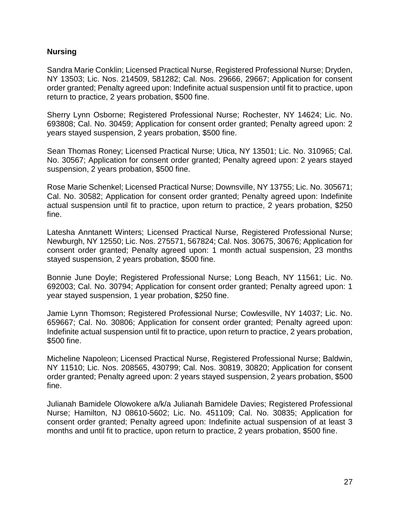#### **Nursing**

Sandra Marie Conklin; Licensed Practical Nurse, Registered Professional Nurse; Dryden, NY 13503; Lic. Nos. 214509, 581282; Cal. Nos. 29666, 29667; Application for consent order granted; Penalty agreed upon: Indefinite actual suspension until fit to practice, upon return to practice, 2 years probation, \$500 fine.

Sherry Lynn Osborne; Registered Professional Nurse; Rochester, NY 14624; Lic. No. 693808; Cal. No. 30459; Application for consent order granted; Penalty agreed upon: 2 years stayed suspension, 2 years probation, \$500 fine.

Sean Thomas Roney; Licensed Practical Nurse; Utica, NY 13501; Lic. No. 310965; Cal. No. 30567; Application for consent order granted; Penalty agreed upon: 2 years stayed suspension, 2 years probation, \$500 fine.

Rose Marie Schenkel; Licensed Practical Nurse; Downsville, NY 13755; Lic. No. 305671; Cal. No. 30582; Application for consent order granted; Penalty agreed upon: Indefinite actual suspension until fit to practice, upon return to practice, 2 years probation, \$250 fine.

Latesha Anntanett Winters; Licensed Practical Nurse, Registered Professional Nurse; Newburgh, NY 12550; Lic. Nos. 275571, 567824; Cal. Nos. 30675, 30676; Application for consent order granted; Penalty agreed upon: 1 month actual suspension, 23 months stayed suspension, 2 years probation, \$500 fine.

Bonnie June Doyle; Registered Professional Nurse; Long Beach, NY 11561; Lic. No. 692003; Cal. No. 30794; Application for consent order granted; Penalty agreed upon: 1 year stayed suspension, 1 year probation, \$250 fine.

Jamie Lynn Thomson; Registered Professional Nurse; Cowlesville, NY 14037; Lic. No. 659667; Cal. No. 30806; Application for consent order granted; Penalty agreed upon: Indefinite actual suspension until fit to practice, upon return to practice, 2 years probation, \$500 fine.

Micheline Napoleon; Licensed Practical Nurse, Registered Professional Nurse; Baldwin, NY 11510; Lic. Nos. 208565, 430799; Cal. Nos. 30819, 30820; Application for consent order granted; Penalty agreed upon: 2 years stayed suspension, 2 years probation, \$500 fine.

Julianah Bamidele Olowokere a/k/a Julianah Bamidele Davies; Registered Professional Nurse; Hamilton, NJ 08610-5602; Lic. No. 451109; Cal. No. 30835; Application for consent order granted; Penalty agreed upon: Indefinite actual suspension of at least 3 months and until fit to practice, upon return to practice, 2 years probation, \$500 fine.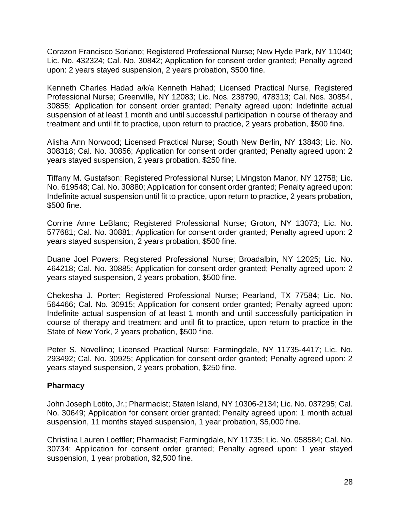Corazon Francisco Soriano; Registered Professional Nurse; New Hyde Park, NY 11040; Lic. No. 432324; Cal. No. 30842; Application for consent order granted; Penalty agreed upon: 2 years stayed suspension, 2 years probation, \$500 fine.

Kenneth Charles Hadad a/k/a Kenneth Hahad; Licensed Practical Nurse, Registered Professional Nurse; Greenville, NY 12083; Lic. Nos. 238790, 478313; Cal. Nos. 30854, 30855; Application for consent order granted; Penalty agreed upon: Indefinite actual suspension of at least 1 month and until successful participation in course of therapy and treatment and until fit to practice, upon return to practice, 2 years probation, \$500 fine.

Alisha Ann Norwood; Licensed Practical Nurse; South New Berlin, NY 13843; Lic. No. 308318; Cal. No. 30856; Application for consent order granted; Penalty agreed upon: 2 years stayed suspension, 2 years probation, \$250 fine.

Tiffany M. Gustafson; Registered Professional Nurse; Livingston Manor, NY 12758; Lic. No. 619548; Cal. No. 30880; Application for consent order granted; Penalty agreed upon: Indefinite actual suspension until fit to practice, upon return to practice, 2 years probation, \$500 fine.

Corrine Anne LeBlanc; Registered Professional Nurse; Groton, NY 13073; Lic. No. 577681; Cal. No. 30881; Application for consent order granted; Penalty agreed upon: 2 years stayed suspension, 2 years probation, \$500 fine.

Duane Joel Powers; Registered Professional Nurse; Broadalbin, NY 12025; Lic. No. 464218; Cal. No. 30885; Application for consent order granted; Penalty agreed upon: 2 years stayed suspension, 2 years probation, \$500 fine.

Chekesha J. Porter; Registered Professional Nurse; Pearland, TX 77584; Lic. No. 564466; Cal. No. 30915; Application for consent order granted; Penalty agreed upon: Indefinite actual suspension of at least 1 month and until successfully participation in course of therapy and treatment and until fit to practice, upon return to practice in the State of New York, 2 years probation, \$500 fine.

Peter S. Novellino; Licensed Practical Nurse; Farmingdale, NY 11735-4417; Lic. No. 293492; Cal. No. 30925; Application for consent order granted; Penalty agreed upon: 2 years stayed suspension, 2 years probation, \$250 fine.

#### **Pharmacy**

John Joseph Lotito, Jr.; Pharmacist; Staten Island, NY 10306-2134; Lic. No. 037295; Cal. No. 30649; Application for consent order granted; Penalty agreed upon: 1 month actual suspension, 11 months stayed suspension, 1 year probation, \$5,000 fine.

Christina Lauren Loeffler; Pharmacist; Farmingdale, NY 11735; Lic. No. 058584; Cal. No. 30734; Application for consent order granted; Penalty agreed upon: 1 year stayed suspension, 1 year probation, \$2,500 fine.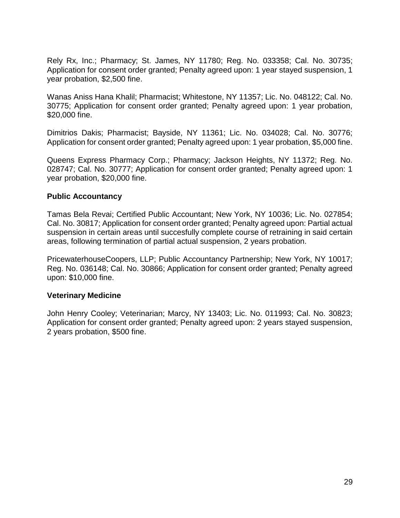Rely Rx, Inc.; Pharmacy; St. James, NY 11780; Reg. No. 033358; Cal. No. 30735; Application for consent order granted; Penalty agreed upon: 1 year stayed suspension, 1 year probation, \$2,500 fine.

Wanas Aniss Hana Khalil; Pharmacist; Whitestone, NY 11357; Lic. No. 048122; Cal. No. 30775; Application for consent order granted; Penalty agreed upon: 1 year probation, \$20,000 fine.

Dimitrios Dakis; Pharmacist; Bayside, NY 11361; Lic. No. 034028; Cal. No. 30776; Application for consent order granted; Penalty agreed upon: 1 year probation, \$5,000 fine.

Queens Express Pharmacy Corp.; Pharmacy; Jackson Heights, NY 11372; Reg. No. 028747; Cal. No. 30777; Application for consent order granted; Penalty agreed upon: 1 year probation, \$20,000 fine.

#### **Public Accountancy**

Tamas Bela Revai; Certified Public Accountant; New York, NY 10036; Lic. No. 027854; Cal. No. 30817; Application for consent order granted; Penalty agreed upon: Partial actual suspension in certain areas until succesfully complete course of retraining in said certain areas, following termination of partial actual suspension, 2 years probation.

PricewaterhouseCoopers, LLP; Public Accountancy Partnership; New York, NY 10017; Reg. No. 036148; Cal. No. 30866; Application for consent order granted; Penalty agreed upon: \$10,000 fine.

#### **Veterinary Medicine**

John Henry Cooley; Veterinarian; Marcy, NY 13403; Lic. No. 011993; Cal. No. 30823; Application for consent order granted; Penalty agreed upon: 2 years stayed suspension, 2 years probation, \$500 fine.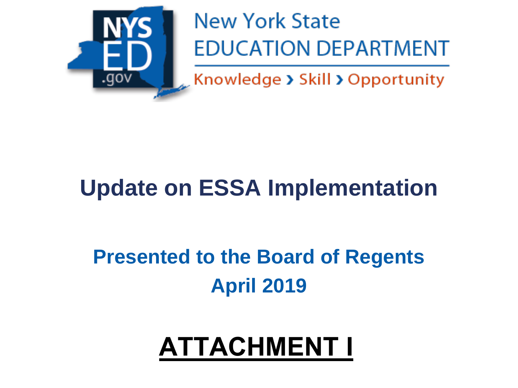

## **New York State EDUCATION DEPARTMENT**

Knowledge > Skill > Opportunity

## **Update on ESSA Implementation**

## **Presented to the Board of Regents April 2019**

# **ATTACHMENT I**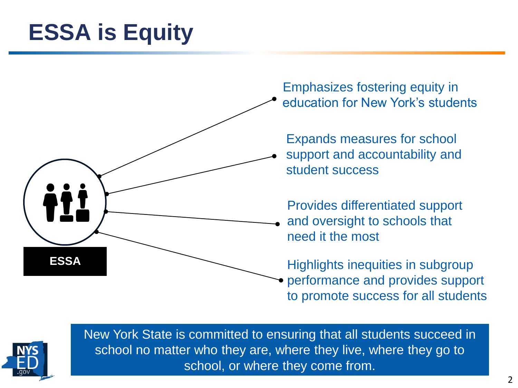## **ESSA is Equity**



Emphasizes fostering equity in education for New York's students

Expands measures for school support and accountability and student success

Provides differentiated support and oversight to schools that need it the most

Highlights inequities in subgroup performance and provides support to promote success for all students



New York State is committed to ensuring that all students succeed in school no matter who they are, where they live, where they go to school, or where they come from.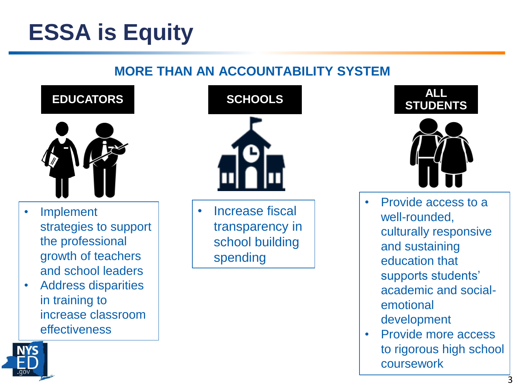## **ESSA is Equity**

### **MORE THAN AN ACCOUNTABILITY SYSTEM**



- Implement strategies to support the professional growth of teachers and school leaders
- Address disparities in training to increase classroom effectiveness



• Increase fiscal transparency in school building spending





- Provide access to a well-rounded, culturally responsive and sustaining education that supports students' academic and socialemotional development
- Provide more access to rigorous high school coursework

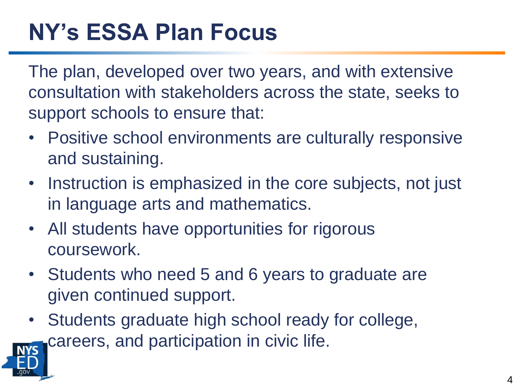## **NY's ESSA Plan Focus**

The plan, developed over two years, and with extensive consultation with stakeholders across the state, seeks to support schools to ensure that:

- Positive school environments are culturally responsive and sustaining.
- Instruction is emphasized in the core subjects, not just in language arts and mathematics.
- All students have opportunities for rigorous coursework.
- Students who need 5 and 6 years to graduate are given continued support.
- Students graduate high school ready for college, careers, and participation in civic life.

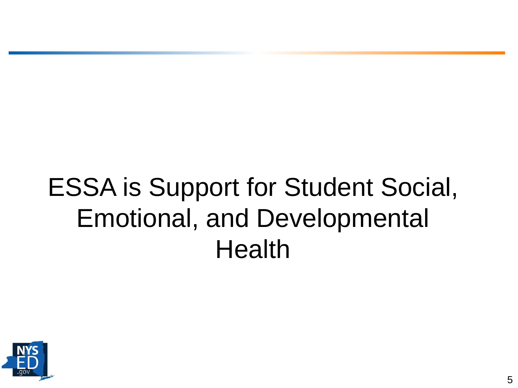# ESSA is Support for Student Social, Emotional, and Developmental **Health**

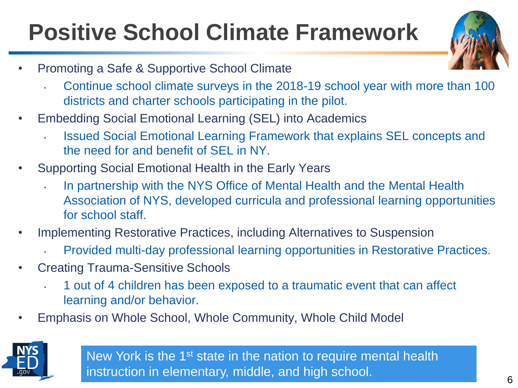## **Positive School Climate Framework**

- Promoting a Safe & Supportive School Climate
	- Continue school climate surveys in the 2018-19 school year with more than 100 districts and charter schools participating in the pilot.
- Embedding Social Emotional Learning (SEL) into Academics
	- Issued Social Emotional Learning Framework that explains SEL concepts and the need for and benefit of SEL in NY.
- Supporting Social Emotional Health in the Early Years
	- In partnership with the NYS Office of Mental Health and the Mental Health Association of NYS, developed curricula and professional learning opportunities for school staff.
- Implementing Restorative Practices, including Alternatives to Suspension
	- Provided multi-day professional learning opportunities in Restorative Practices.
- Creating Trauma-Sensitive Schools
	- 1 out of 4 children has been exposed to a traumatic event that can affect learning and/or behavior.
- Emphasis on Whole School, Whole Community, Whole Child Model



New York is the 1<sup>st</sup> state in the nation to require mental health instruction in elementary, middle, and high school.

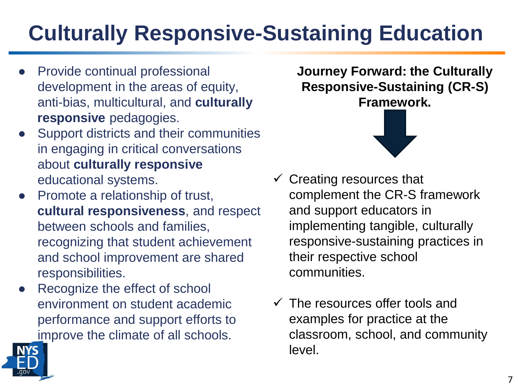## **Culturally Responsive-Sustaining Education**

- **Provide continual professional** development in the areas of equity, anti-bias, multicultural, and **culturally responsive** pedagogies.
- Support districts and their communities in engaging in critical conversations about **culturally responsive**  educational systems.
- Promote a relationship of trust, **cultural responsiveness**, and respect between schools and families, recognizing that student achievement and school improvement are shared responsibilities.
- Recognize the effect of school environment on student academic performance and support efforts to improve the climate of all schools.



- $\checkmark$  Creating resources that complement the CR-S framework and support educators in implementing tangible, culturally responsive-sustaining practices in their respective school communities.
- $\checkmark$  The resources offer tools and examples for practice at the classroom, school, and community level.

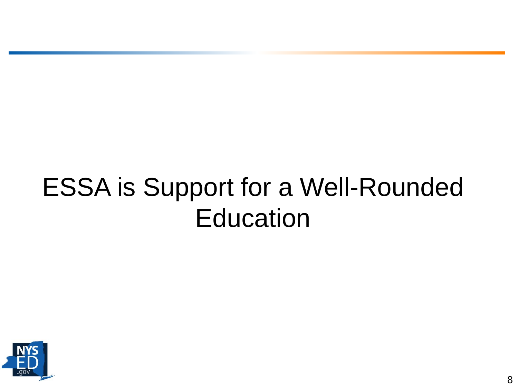# ESSA is Support for a Well-Rounded **Education**

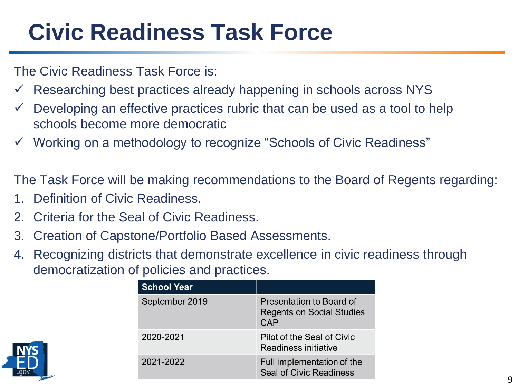## **Civic Readiness Task Force**

The Civic Readiness Task Force is:

- Researching best practices already happening in schools across NYS
- Developing an effective practices rubric that can be used as a tool to help schools become more democratic
- $\checkmark$  Working on a methodology to recognize "Schools of Civic Readiness"

The Task Force will be making recommendations to the Board of Regents regarding:

- 1. Definition of Civic Readiness.
- 2. Criteria for the Seal of Civic Readiness.
- 3. Creation of Capstone/Portfolio Based Assessments.
- 4. Recognizing districts that demonstrate excellence in civic readiness through democratization of policies and practices.

|  | <b>School Year</b> |                                                                            |
|--|--------------------|----------------------------------------------------------------------------|
|  | September 2019     | Presentation to Board of<br><b>Regents on Social Studies</b><br><b>CAP</b> |
|  | 2020-2021          | Pilot of the Seal of Civic<br>Readiness initiative                         |
|  | 2021-2022          | Full implementation of the<br>Seal of Civic Readiness                      |

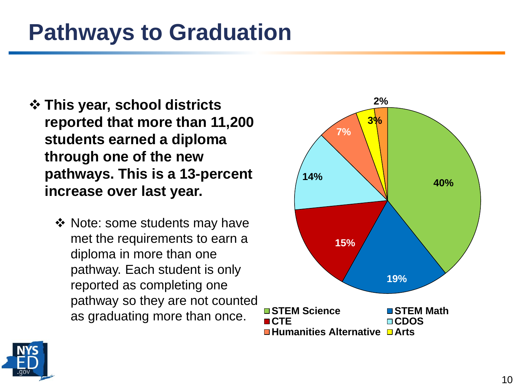### **Pathways to Graduation**

- ❖ **This year, school districts reported that more than 11,200 students earned a diploma through one of the new pathways. This is a 13-percent increase over last year.** 
	- ❖ Note: some students may have met the requirements to earn a diploma in more than one pathway. Each student is only reported as completing one pathway so they are not counted as graduating more than once.



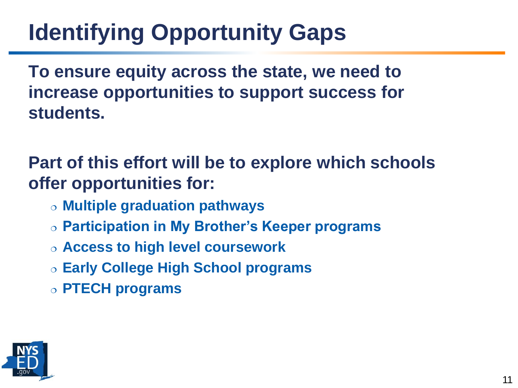## **Identifying Opportunity Gaps**

**To ensure equity across the state, we need to increase opportunities to support success for students.** 

**Part of this effort will be to explore which schools offer opportunities for:**

- **Multiple graduation pathways**
- **Participation in My Brother's Keeper programs**
- **Access to high level coursework**
- **Early College High School programs**
- **PTECH programs**

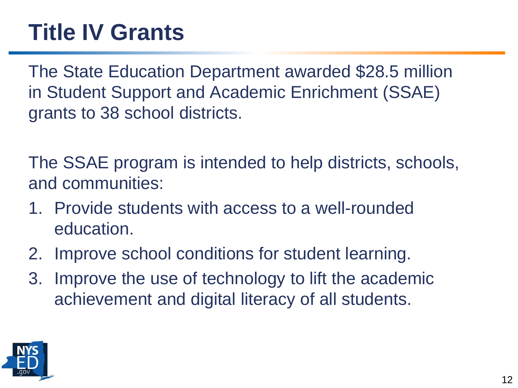## **Title IV Grants**

The State Education Department awarded \$28.5 million in Student Support and Academic Enrichment (SSAE) grants to 38 school districts.

The SSAE program is intended to help districts, schools, and communities:

- 1. Provide students with access to a well-rounded education.
- 2. Improve school conditions for student learning.
- 3. Improve the use of technology to lift the academic achievement and digital literacy of all students.

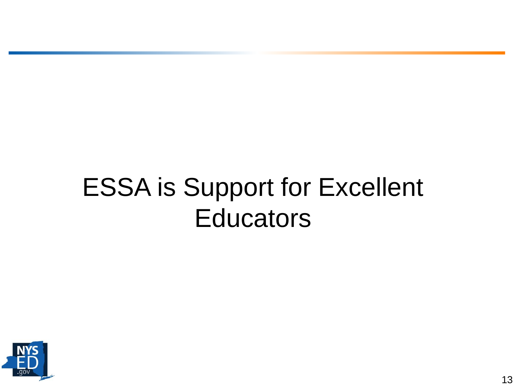## ESSA is Support for Excellent **Educators**

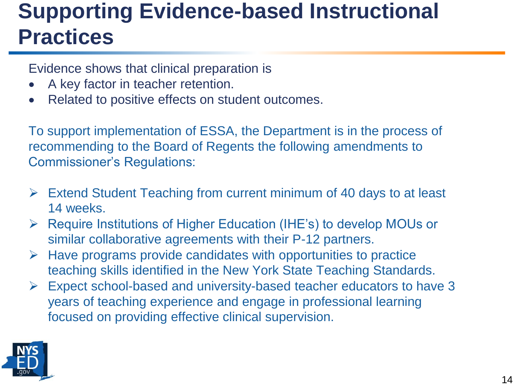### **Supporting Evidence-based Instructional Practices**

Evidence shows that clinical preparation is

- A key factor in teacher retention.
- Related to positive effects on student outcomes.

To support implementation of ESSA, the Department is in the process of recommending to the Board of Regents the following amendments to Commissioner's Regulations:

- ➢ Extend Student Teaching from current minimum of 40 days to at least 14 weeks.
- ➢ Require Institutions of Higher Education (IHE's) to develop MOUs or similar collaborative agreements with their P-12 partners.
- $\triangleright$  Have programs provide candidates with opportunities to practice teaching skills identified in the New York State Teaching Standards.
- ➢ Expect school-based and university-based teacher educators to have 3 years of teaching experience and engage in professional learning focused on providing effective clinical supervision.

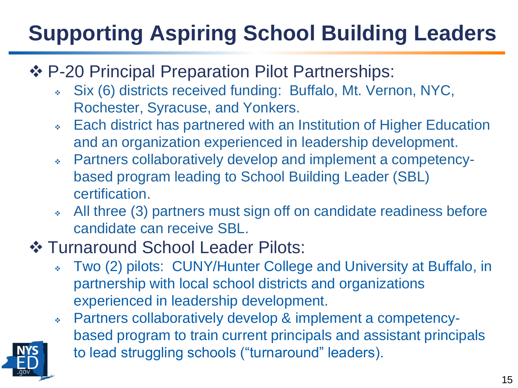## **Supporting Aspiring School Building Leaders**

- ❖ P-20 Principal Preparation Pilot Partnerships:
	- ❖ Six (6) districts received funding: Buffalo, Mt. Vernon, NYC, Rochester, Syracuse, and Yonkers.
	- ❖ Each district has partnered with an Institution of Higher Education and an organization experienced in leadership development.
	- ❖ Partners collaboratively develop and implement a competencybased program leading to School Building Leader (SBL) certification.
	- All three (3) partners must sign off on candidate readiness before candidate can receive SBL.
- ❖ Turnaround School Leader Pilots:
	- ❖ Two (2) pilots: CUNY/Hunter College and University at Buffalo, in partnership with local school districts and organizations experienced in leadership development.
	- ❖ Partners collaboratively develop & implement a competencybased program to train current principals and assistant principals to lead struggling schools ("turnaround" leaders).

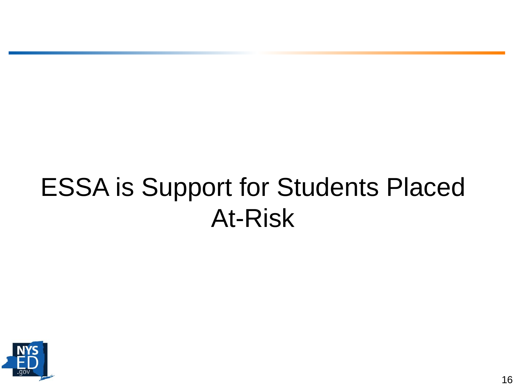## ESSA is Support for Students Placed At-Risk

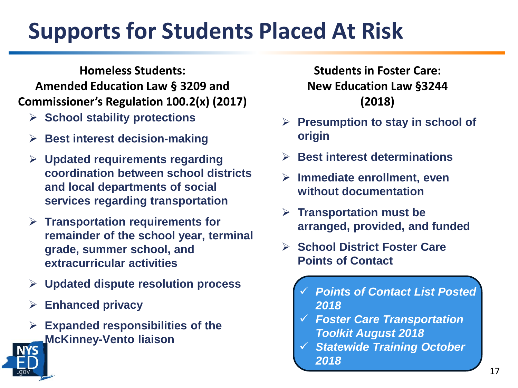## **Supports for Students Placed At Risk**

**Homeless Students: Amended Education Law § 3209 and Commissioner's Regulation 100.2(x) (2017)**

- ➢ **School stability protections**
- ➢ **Best interest decision-making**
- ➢ **Updated requirements regarding coordination between school districts and local departments of social services regarding transportation**
- ➢ **Transportation requirements for remainder of the school year, terminal grade, summer school, and extracurricular activities**
- ➢ **Updated dispute resolution process**
- ➢ **Enhanced privacy**
- ➢ **Expanded responsibilities of the McKinney-Vento liaison**

**Students in Foster Care: New Education Law §3244 (2018)**

- ➢ **Presumption to stay in school of origin**
- ➢ **Best interest determinations**
- ➢ **Immediate enrollment, even without documentation**
- ➢ **Transportation must be arranged, provided, and funded**
- ➢ **School District Foster Care Points of Contact**
	- ✓ *Points of Contact List Posted 2018*
	- ✓ *Foster Care Transportation Toolkit August 2018*
	- ✓ *Statewide Training October 2018*

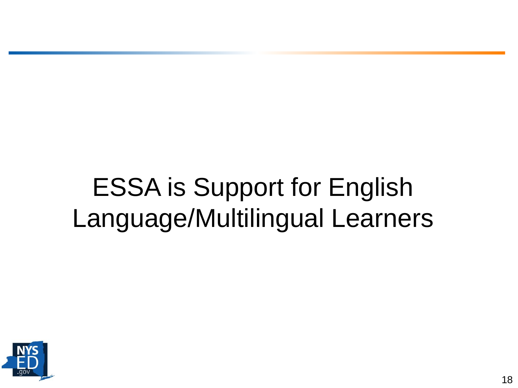# ESSA is Support for English Language/Multilingual Learners

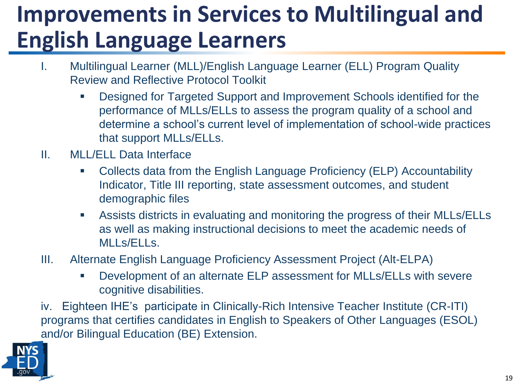## **Improvements in Services to Multilingual and English Language Learners**

- I. Multilingual Learner (MLL)/English Language Learner (ELL) Program Quality Review and Reflective Protocol Toolkit
	- Designed for Targeted Support and Improvement Schools identified for the performance of MLLs/ELLs to assess the program quality of a school and determine a school's current level of implementation of school-wide practices that support MLLs/ELLs.
- II. MLL/ELL Data Interface
	- Collects data from the English Language Proficiency (ELP) Accountability Indicator, Title III reporting, state assessment outcomes, and student demographic files
	- Assists districts in evaluating and monitoring the progress of their MLLs/ELLs as well as making instructional decisions to meet the academic needs of MLLs/ELLs.
- III. Alternate English Language Proficiency Assessment Project (Alt-ELPA)
	- Development of an alternate ELP assessment for MLLs/ELLs with severe cognitive disabilities.

iv. Eighteen IHE's participate in Clinically-Rich Intensive Teacher Institute (CR-ITI) programs that certifies candidates in English to Speakers of Other Languages (ESOL) and/or Bilingual Education (BE) Extension.

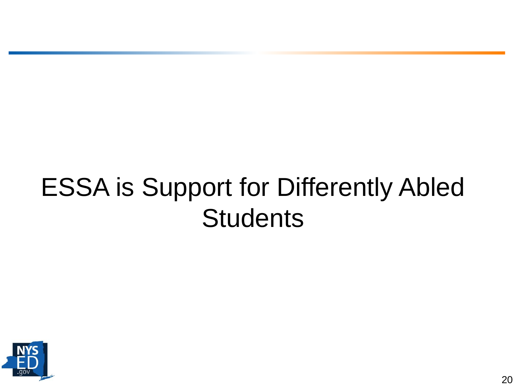## ESSA is Support for Differently Abled **Students**

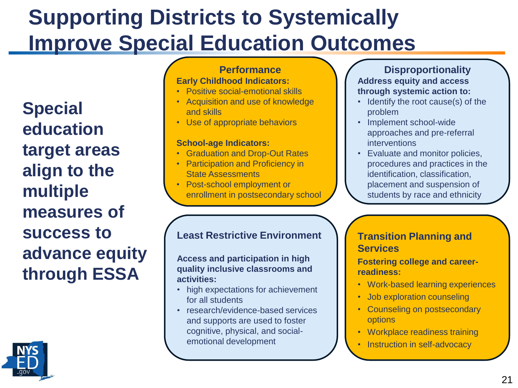### **Supporting Districts to Systemically Improve Special Education Outcomes**

**Special education target areas align to the multiple measures of success to advance equity through ESSA**



#### **Performance Early Childhood Indicators:**

- Positive social-emotional skills
- Acquisition and use of knowledge and skills
- Use of appropriate behaviors

#### **School-age Indicators:**

- Graduation and Drop-Out Rates
- **Participation and Proficiency in** State Assessments
- Post-school employment or enrollment in postsecondary school

#### **Least Restrictive Environment**

**Access and participation in high quality inclusive classrooms and activities:**

- high expectations for achievement for all students
- research/evidence-based services and supports are used to foster cognitive, physical, and socialemotional development

**Disproportionality Address equity and access through systemic action to:**

- Identify the root cause(s) of the problem
- Implement school-wide approaches and pre-referral interventions
- Evaluate and monitor policies, procedures and practices in the identification, classification, placement and suspension of students by race and ethnicity

#### **Transition Planning and Services**

**Fostering college and careerreadiness:**

- Work-based learning experiences
- Job exploration counseling
- Counseling on postsecondary options
- Workplace readiness training
- Instruction in self-advocacy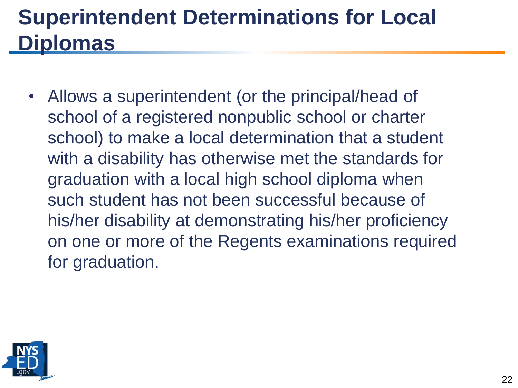### **Superintendent Determinations for Local Diplomas**

• Allows a superintendent (or the principal/head of school of a registered nonpublic school or charter school) to make a local determination that a student with a disability has otherwise met the standards for graduation with a local high school diploma when such student has not been successful because of his/her disability at demonstrating his/her proficiency on one or more of the Regents examinations required for graduation.

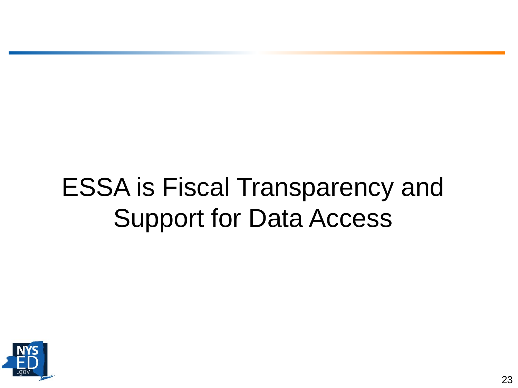# ESSA is Fiscal Transparency and Support for Data Access

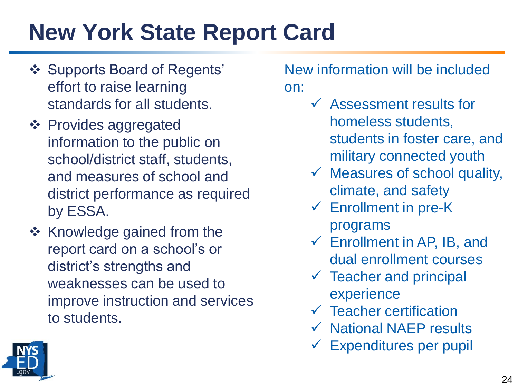## **New York State Report Card**

- ❖ Supports Board of Regents' effort to raise learning standards for all students.
- ❖ Provides aggregated information to the public on school/district staff, students, and measures of school and district performance as required by ESSA.
- ❖ Knowledge gained from the report card on a school's or district's strengths and weaknesses can be used to improve instruction and services to students.

### New information will be included on:

- ✓ Assessment results for homeless students, students in foster care, and military connected youth
- $\checkmark$  Measures of school quality, climate, and safety
- $\checkmark$  Enrollment in pre-K programs
- $\checkmark$  Enrollment in AP, IB, and dual enrollment courses
- $\checkmark$  Teacher and principal experience
- $\checkmark$  Teacher certification
- ✓ National NAEP results
- $\checkmark$  Expenditures per pupil

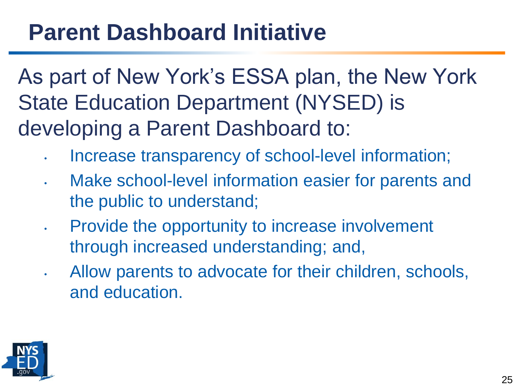## **Parent Dashboard Initiative**

As part of New York's ESSA plan, the New York State Education Department (NYSED) is developing a Parent Dashboard to:

- Increase transparency of school-level information;
- Make school-level information easier for parents and the public to understand;
- Provide the opportunity to increase involvement through increased understanding; and,
- Allow parents to advocate for their children, schools, and education.

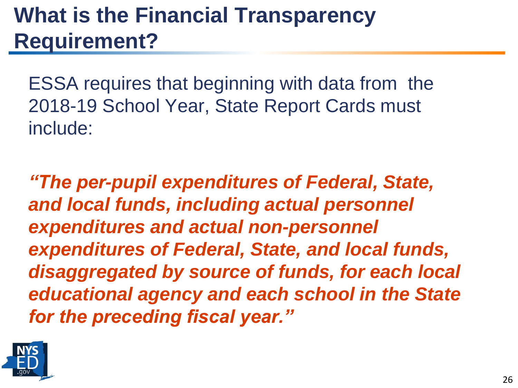## **What is the Financial Transparency Requirement?**

ESSA requires that beginning with data from the 2018-19 School Year, State Report Cards must include:

*"The per-pupil expenditures of Federal, State, and local funds, including actual personnel expenditures and actual non-personnel expenditures of Federal, State, and local funds, disaggregated by source of funds, for each local educational agency and each school in the State for the preceding fiscal year."*

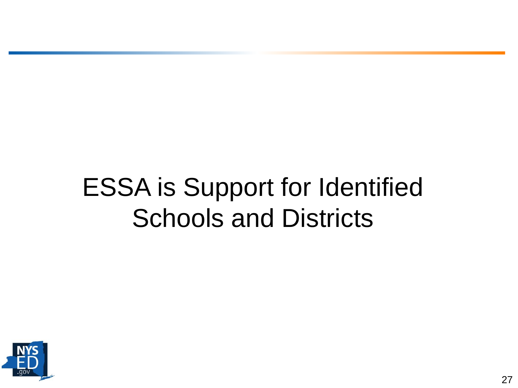## ESSA is Support for Identified Schools and Districts

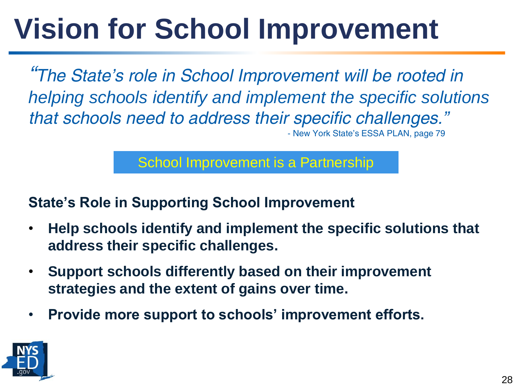# **Vision for School Improvement**

*"The State's role in School Improvement will be rooted in helping schools identify and implement the specific solutions that schools need to address their specific challenges."*  - New York State's ESSA PLAN, page 79

School Improvement is a Partnership

### **State's Role in Supporting School Improvement**

- **Help schools identify and implement the specific solutions that address their specific challenges.**
- **Support schools differently based on their improvement strategies and the extent of gains over time.**
- **Provide more support to schools' improvement efforts.**

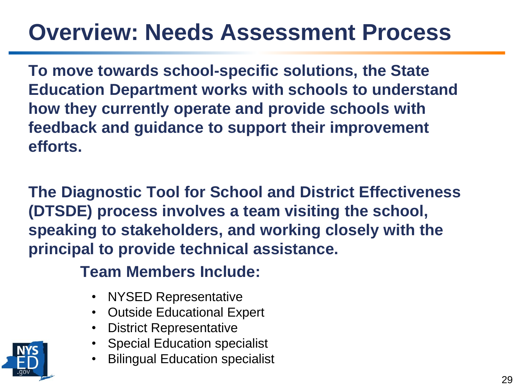## **Overview: Needs Assessment Process**

**To move towards school-specific solutions, the State Education Department works with schools to understand how they currently operate and provide schools with feedback and guidance to support their improvement efforts.** 

**The Diagnostic Tool for School and District Effectiveness (DTSDE) process involves a team visiting the school, speaking to stakeholders, and working closely with the principal to provide technical assistance.** 

**Team Members Include:** 

- NYSED Representative
- Outside Educational Expert
- District Representative
- Special Education specialist
- **Bilingual Education specialist**

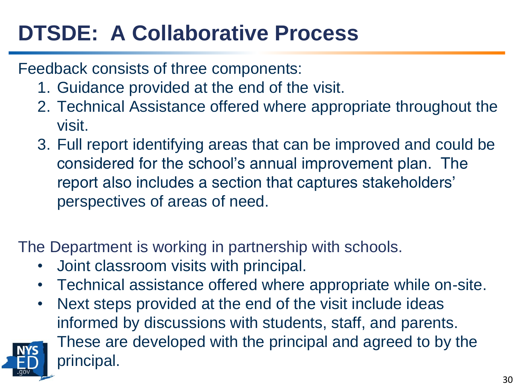## **DTSDE: A Collaborative Process**

### Feedback consists of three components:

- 1. Guidance provided at the end of the visit.
- 2. Technical Assistance offered where appropriate throughout the visit.
- 3. Full report identifying areas that can be improved and could be considered for the school's annual improvement plan. The report also includes a section that captures stakeholders' perspectives of areas of need.

The Department is working in partnership with schools.

- Joint classroom visits with principal.
- Technical assistance offered where appropriate while on-site.
- Next steps provided at the end of the visit include ideas informed by discussions with students, staff, and parents.



These are developed with the principal and agreed to by the principal.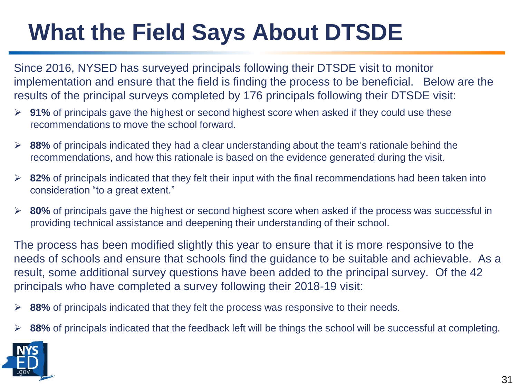## **What the Field Says About DTSDE**

Since 2016, NYSED has surveyed principals following their DTSDE visit to monitor implementation and ensure that the field is finding the process to be beneficial. Below are the results of the principal surveys completed by 176 principals following their DTSDE visit:

- ➢ **91%** of principals gave the highest or second highest score when asked if they could use these recommendations to move the school forward.
- ➢ **88%** of principals indicated they had a clear understanding about the team's rationale behind the recommendations, and how this rationale is based on the evidence generated during the visit.
- ➢ **82%** of principals indicated that they felt their input with the final recommendations had been taken into consideration "to a great extent."
- ➢ **80%** of principals gave the highest or second highest score when asked if the process was successful in providing technical assistance and deepening their understanding of their school.

The process has been modified slightly this year to ensure that it is more responsive to the needs of schools and ensure that schools find the guidance to be suitable and achievable. As a result, some additional survey questions have been added to the principal survey. Of the 42 principals who have completed a survey following their 2018-19 visit:

- ➢ **88%** of principals indicated that they felt the process was responsive to their needs.
- 88% of principals indicated that the feedback left will be things the school will be successful at completing.

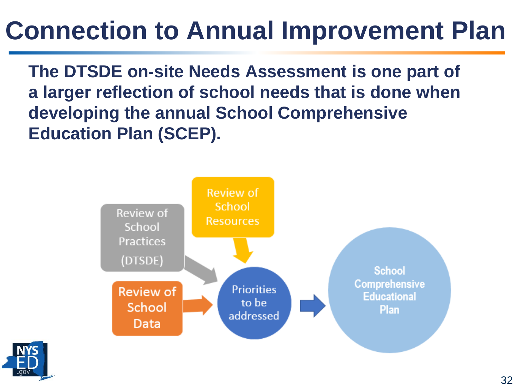## **Connection to Annual Improvement Plan**

**The DTSDE on-site Needs Assessment is one part of a larger reflection of school needs that is done when developing the annual School Comprehensive Education Plan (SCEP).**



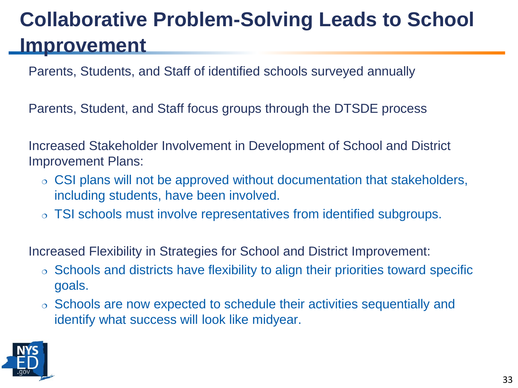### **Collaborative Problem-Solving Leads to School Improvement**

Parents, Students, and Staff of identified schools surveyed annually

Parents, Student, and Staff focus groups through the DTSDE process

Increased Stakeholder Involvement in Development of School and District Improvement Plans:

- CSI plans will not be approved without documentation that stakeholders, including students, have been involved.
- TSI schools must involve representatives from identified subgroups.

Increased Flexibility in Strategies for School and District Improvement:

- $\circ$  Schools and districts have flexibility to align their priorities toward specific goals.
- Schools are now expected to schedule their activities sequentially and identify what success will look like midyear.

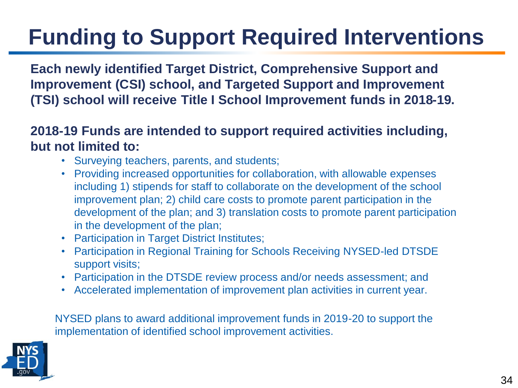## **Funding to Support Required Interventions**

**Each newly identified Target District, Comprehensive Support and Improvement (CSI) school, and Targeted Support and Improvement (TSI) school will receive Title I School Improvement funds in 2018-19.**

**2018-19 Funds are intended to support required activities including, but not limited to:**

- Surveying teachers, parents, and students;
- Providing increased opportunities for collaboration, with allowable expenses including 1) stipends for staff to collaborate on the development of the school improvement plan; 2) child care costs to promote parent participation in the development of the plan; and 3) translation costs to promote parent participation in the development of the plan;
- Participation in Target District Institutes;
- Participation in Regional Training for Schools Receiving NYSED-led DTSDE support visits;
- Participation in the DTSDE review process and/or needs assessment; and
- Accelerated implementation of improvement plan activities in current year.

NYSED plans to award additional improvement funds in 2019-20 to support the implementation of identified school improvement activities.

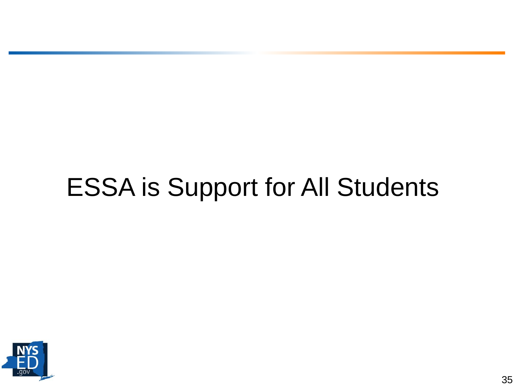# ESSA is Support for All Students

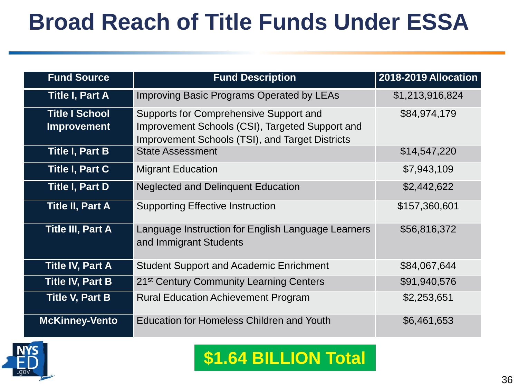## **Broad Reach of Title Funds Under ESSA**

| <b>Fund Source</b>                          | <b>Fund Description</b>                                                                                                                             | 2018-2019 Allocation |
|---------------------------------------------|-----------------------------------------------------------------------------------------------------------------------------------------------------|----------------------|
| <b>Title I, Part A</b>                      | <b>Improving Basic Programs Operated by LEAs</b>                                                                                                    | \$1,213,916,824      |
| <b>Title I School</b><br><b>Improvement</b> | Supports for Comprehensive Support and<br>Improvement Schools (CSI), Targeted Support and<br><b>Improvement Schools (TSI), and Target Districts</b> |                      |
| <b>Title I, Part B</b>                      | <b>State Assessment</b>                                                                                                                             | \$14,547,220         |
| Title I, Part C                             | <b>Migrant Education</b>                                                                                                                            | \$7,943,109          |
| Title I, Part D                             | <b>Neglected and Delinquent Education</b>                                                                                                           | \$2,442,622          |
| <b>Title II, Part A</b>                     | <b>Supporting Effective Instruction</b>                                                                                                             | \$157,360,601        |
| <b>Title III, Part A</b>                    | Language Instruction for English Language Learners<br>and Immigrant Students                                                                        | \$56,816,372         |
| <b>Title IV, Part A</b>                     | <b>Student Support and Academic Enrichment</b>                                                                                                      | \$84,067,644         |
| Title IV, Part B                            | 21 <sup>st</sup> Century Community Learning Centers                                                                                                 | \$91,940,576         |
| Title V, Part B                             | <b>Rural Education Achievement Program</b>                                                                                                          | \$2,253,651          |
| <b>McKinney-Vento</b>                       | <b>Education for Homeless Children and Youth</b>                                                                                                    | \$6,461,653          |



### **\$1.64 BILLION Total**